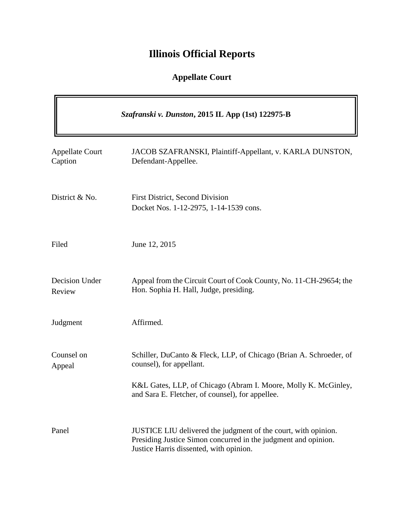# **Illinois Official Reports**

# **Appellate Court**

| Szafranski v. Dunston, 2015 IL App (1st) 122975-B |                                                                                                                                                                             |
|---------------------------------------------------|-----------------------------------------------------------------------------------------------------------------------------------------------------------------------------|
| <b>Appellate Court</b><br>Caption                 | JACOB SZAFRANSKI, Plaintiff-Appellant, v. KARLA DUNSTON,<br>Defendant-Appellee.                                                                                             |
| District & No.                                    | <b>First District, Second Division</b><br>Docket Nos. 1-12-2975, 1-14-1539 cons.                                                                                            |
| Filed                                             | June 12, 2015                                                                                                                                                               |
| Decision Under<br>Review                          | Appeal from the Circuit Court of Cook County, No. 11-CH-29654; the<br>Hon. Sophia H. Hall, Judge, presiding.                                                                |
| Judgment                                          | Affirmed.                                                                                                                                                                   |
| Counsel on<br>Appeal                              | Schiller, DuCanto & Fleck, LLP, of Chicago (Brian A. Schroeder, of<br>counsel), for appellant.                                                                              |
|                                                   | K&L Gates, LLP, of Chicago (Abram I. Moore, Molly K. McGinley,<br>and Sara E. Fletcher, of counsel), for appellee.                                                          |
| Panel                                             | JUSTICE LIU delivered the judgment of the court, with opinion.<br>Presiding Justice Simon concurred in the judgment and opinion.<br>Justice Harris dissented, with opinion. |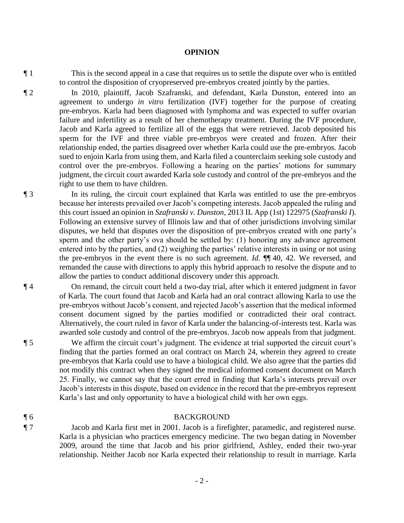#### **OPINION**

¶ 1 This is the second appeal in a case that requires us to settle the dispute over who is entitled to control the disposition of cryopreserved pre-embryos created jointly by the parties.

¶ 2 In 2010, plaintiff, Jacob Szafranski, and defendant, Karla Dunston, entered into an agreement to undergo *in vitro* fertilization (IVF) together for the purpose of creating pre-embryos. Karla had been diagnosed with lymphoma and was expected to suffer ovarian failure and infertility as a result of her chemotherapy treatment. During the IVF procedure, Jacob and Karla agreed to fertilize all of the eggs that were retrieved. Jacob deposited his sperm for the IVF and three viable pre-embryos were created and frozen. After their relationship ended, the parties disagreed over whether Karla could use the pre-embryos. Jacob sued to enjoin Karla from using them, and Karla filed a counterclaim seeking sole custody and control over the pre-embryos. Following a hearing on the parties' motions for summary judgment, the circuit court awarded Karla sole custody and control of the pre-embryos and the right to use them to have children.

¶ 3 In its ruling, the circuit court explained that Karla was entitled to use the pre-embryos because her interests prevailed over Jacob's competing interests. Jacob appealed the ruling and this court issued an opinion in *Szafranski v. Dunston*, 2013 IL App (1st) 122975 (*Szafranski I*). Following an extensive survey of Illinois law and that of other jurisdictions involving similar disputes, we held that disputes over the disposition of pre-embryos created with one party's sperm and the other party's ova should be settled by: (1) honoring any advance agreement entered into by the parties, and (2) weighing the parties' relative interests in using or not using the pre-embryos in the event there is no such agreement. *Id.* ¶¶ 40, 42. We reversed, and remanded the cause with directions to apply this hybrid approach to resolve the dispute and to allow the parties to conduct additional discovery under this approach.

¶ 4 On remand, the circuit court held a two-day trial, after which it entered judgment in favor of Karla. The court found that Jacob and Karla had an oral contract allowing Karla to use the pre-embryos without Jacob's consent, and rejected Jacob's assertion that the medical informed consent document signed by the parties modified or contradicted their oral contract. Alternatively, the court ruled in favor of Karla under the balancing-of-interests test. Karla was awarded sole custody and control of the pre-embryos. Jacob now appeals from that judgment.

¶ 5 We affirm the circuit court's judgment. The evidence at trial supported the circuit court's finding that the parties formed an oral contract on March 24, wherein they agreed to create pre-embryos that Karla could use to have a biological child. We also agree that the parties did not modify this contract when they signed the medical informed consent document on March 25. Finally, we cannot say that the court erred in finding that Karla's interests prevail over Jacob's interests in this dispute, based on evidence in the record that the pre-embryos represent Karla's last and only opportunity to have a biological child with her own eggs.

#### ¶ 6 BACKGROUND

¶ 7 Jacob and Karla first met in 2001. Jacob is a firefighter, paramedic, and registered nurse. Karla is a physician who practices emergency medicine. The two began dating in November 2009, around the time that Jacob and his prior girlfriend, Ashley, ended their two-year relationship. Neither Jacob nor Karla expected their relationship to result in marriage. Karla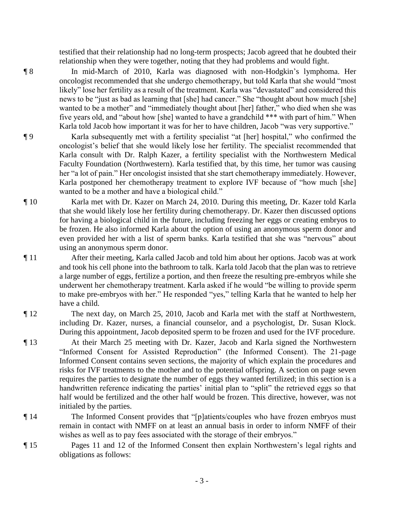testified that their relationship had no long-term prospects; Jacob agreed that he doubted their relationship when they were together, noting that they had problems and would fight.

¶ 8 In mid-March of 2010, Karla was diagnosed with non-Hodgkin's lymphoma. Her oncologist recommended that she undergo chemotherapy, but told Karla that she would "most likely" lose her fertility as a result of the treatment. Karla was "devastated" and considered this news to be "just as bad as learning that [she] had cancer." She "thought about how much [she] wanted to be a mother" and "immediately thought about [her] father," who died when she was five years old, and "about how [she] wanted to have a grandchild \*\*\* with part of him." When Karla told Jacob how important it was for her to have children, Jacob "was very supportive."

¶ 9 Karla subsequently met with a fertility specialist "at [her] hospital," who confirmed the oncologist's belief that she would likely lose her fertility. The specialist recommended that Karla consult with Dr. Ralph Kazer, a fertility specialist with the Northwestern Medical Faculty Foundation (Northwestern). Karla testified that, by this time, her tumor was causing her "a lot of pain." Her oncologist insisted that she start chemotherapy immediately. However, Karla postponed her chemotherapy treatment to explore IVF because of "how much [she] wanted to be a mother and have a biological child."

- ¶ 10 Karla met with Dr. Kazer on March 24, 2010. During this meeting, Dr. Kazer told Karla that she would likely lose her fertility during chemotherapy. Dr. Kazer then discussed options for having a biological child in the future, including freezing her eggs or creating embryos to be frozen. He also informed Karla about the option of using an anonymous sperm donor and even provided her with a list of sperm banks. Karla testified that she was "nervous" about using an anonymous sperm donor.
- ¶ 11 After their meeting, Karla called Jacob and told him about her options. Jacob was at work and took his cell phone into the bathroom to talk. Karla told Jacob that the plan was to retrieve a large number of eggs, fertilize a portion, and then freeze the resulting pre-embryos while she underwent her chemotherapy treatment. Karla asked if he would "be willing to provide sperm to make pre-embryos with her." He responded "yes," telling Karla that he wanted to help her have a child.
- ¶ 12 The next day, on March 25, 2010, Jacob and Karla met with the staff at Northwestern, including Dr. Kazer, nurses, a financial counselor, and a psychologist, Dr. Susan Klock. During this appointment, Jacob deposited sperm to be frozen and used for the IVF procedure.
- ¶ 13 At their March 25 meeting with Dr. Kazer, Jacob and Karla signed the Northwestern "Informed Consent for Assisted Reproduction" (the Informed Consent). The 21-page Informed Consent contains seven sections, the majority of which explain the procedures and risks for IVF treatments to the mother and to the potential offspring. A section on page seven requires the parties to designate the number of eggs they wanted fertilized; in this section is a handwritten reference indicating the parties' initial plan to "split" the retrieved eggs so that half would be fertilized and the other half would be frozen. This directive, however, was not initialed by the parties.
- ¶ 14 The Informed Consent provides that "[p]atients/couples who have frozen embryos must remain in contact with NMFF on at least an annual basis in order to inform NMFF of their wishes as well as to pay fees associated with the storage of their embryos."
- ¶ 15 Pages 11 and 12 of the Informed Consent then explain Northwestern's legal rights and obligations as follows:

- 3 -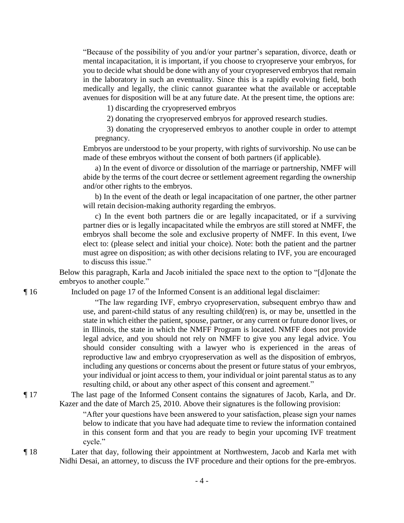"Because of the possibility of you and/or your partner's separation, divorce, death or mental incapacitation, it is important, if you choose to cryopreserve your embryos, for you to decide what should be done with any of your cryopreserved embryos that remain in the laboratory in such an eventuality. Since this is a rapidly evolving field, both medically and legally, the clinic cannot guarantee what the available or acceptable avenues for disposition will be at any future date. At the present time, the options are:

1) discarding the cryopreserved embryos

2) donating the cryopreserved embryos for approved research studies.

 3) donating the cryopreserved embryos to another couple in order to attempt pregnancy.

Embryos are understood to be your property, with rights of survivorship. No use can be made of these embryos without the consent of both partners (if applicable).

 a) In the event of divorce or dissolution of the marriage or partnership, NMFF will abide by the terms of the court decree or settlement agreement regarding the ownership and/or other rights to the embryos.

 b) In the event of the death or legal incapacitation of one partner, the other partner will retain decision-making authority regarding the embryos.

 c) In the event both partners die or are legally incapacitated, or if a surviving partner dies or is legally incapacitated while the embryos are still stored at NMFF, the embryos shall become the sole and exclusive property of NMFF. In this event, I/we elect to: (please select and initial your choice). Note: both the patient and the partner must agree on disposition; as with other decisions relating to IVF, you are encouraged to discuss this issue."

Below this paragraph, Karla and Jacob initialed the space next to the option to "[d]onate the embryos to another couple."

¶ 16 Included on page 17 of the Informed Consent is an additional legal disclaimer:

"The law regarding IVF, embryo cryopreservation, subsequent embryo thaw and use, and parent-child status of any resulting child(ren) is, or may be, unsettled in the state in which either the patient, spouse, partner, or any current or future donor lives, or in Illinois, the state in which the NMFF Program is located. NMFF does not provide legal advice, and you should not rely on NMFF to give you any legal advice. You should consider consulting with a lawyer who is experienced in the areas of reproductive law and embryo cryopreservation as well as the disposition of embryos, including any questions or concerns about the present or future status of your embryos, your individual or joint access to them, your individual or joint parental status as to any resulting child, or about any other aspect of this consent and agreement."

¶ 17 The last page of the Informed Consent contains the signatures of Jacob, Karla, and Dr. Kazer and the date of March 25, 2010. Above their signatures is the following provision:

> "After your questions have been answered to your satisfaction, please sign your names below to indicate that you have had adequate time to review the information contained in this consent form and that you are ready to begin your upcoming IVF treatment cycle."

¶ 18 Later that day, following their appointment at Northwestern, Jacob and Karla met with Nidhi Desai, an attorney, to discuss the IVF procedure and their options for the pre-embryos.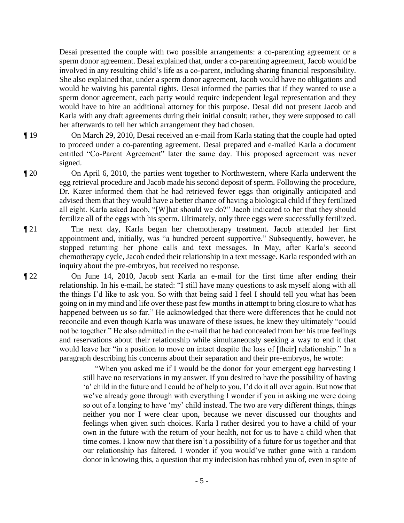Desai presented the couple with two possible arrangements: a co-parenting agreement or a sperm donor agreement. Desai explained that, under a co-parenting agreement, Jacob would be involved in any resulting child's life as a co-parent, including sharing financial responsibility. She also explained that, under a sperm donor agreement, Jacob would have no obligations and would be waiving his parental rights. Desai informed the parties that if they wanted to use a sperm donor agreement, each party would require independent legal representation and they would have to hire an additional attorney for this purpose. Desai did not present Jacob and Karla with any draft agreements during their initial consult; rather, they were supposed to call her afterwards to tell her which arrangement they had chosen.

¶ 19 On March 29, 2010, Desai received an e-mail from Karla stating that the couple had opted to proceed under a co-parenting agreement. Desai prepared and e-mailed Karla a document entitled "Co-Parent Agreement" later the same day. This proposed agreement was never signed.

¶ 20 On April 6, 2010, the parties went together to Northwestern, where Karla underwent the egg retrieval procedure and Jacob made his second deposit of sperm. Following the procedure, Dr. Kazer informed them that he had retrieved fewer eggs than originally anticipated and advised them that they would have a better chance of having a biological child if they fertilized all eight. Karla asked Jacob, "[W]hat should we do?" Jacob indicated to her that they should fertilize all of the eggs with his sperm. Ultimately, only three eggs were successfully fertilized.

¶ 21 The next day, Karla began her chemotherapy treatment. Jacob attended her first appointment and, initially, was "a hundred percent supportive." Subsequently, however, he stopped returning her phone calls and text messages. In May, after Karla's second chemotherapy cycle, Jacob ended their relationship in a text message. Karla responded with an inquiry about the pre-embryos, but received no response.

¶ 22 On June 14, 2010, Jacob sent Karla an e-mail for the first time after ending their relationship. In his e-mail, he stated: "I still have many questions to ask myself along with all the things I'd like to ask you. So with that being said I feel I should tell you what has been going on in my mind and life over these past few months in attempt to bring closure to what has happened between us so far." He acknowledged that there were differences that he could not reconcile and even though Karla was unaware of these issues, he knew they ultimately "could not be together." He also admitted in the e-mail that he had concealed from her his true feelings and reservations about their relationship while simultaneously seeking a way to end it that would leave her "in a position to move on intact despite the loss of [their] relationship." In a paragraph describing his concerns about their separation and their pre-embryos, he wrote:

> "When you asked me if I would be the donor for your emergent egg harvesting I still have no reservations in my answer. If you desired to have the possibility of having 'a' child in the future and I could be of help to you, I'd do it all over again. But now that we've already gone through with everything I wonder if you in asking me were doing so out of a longing to have 'my' child instead. The two are very different things, things neither you nor I were clear upon, because we never discussed our thoughts and feelings when given such choices. Karla I rather desired you to have a child of your own in the future with the return of your health, not for us to have a child when that time comes. I know now that there isn't a possibility of a future for us together and that our relationship has faltered. I wonder if you would've rather gone with a random donor in knowing this, a question that my indecision has robbed you of, even in spite of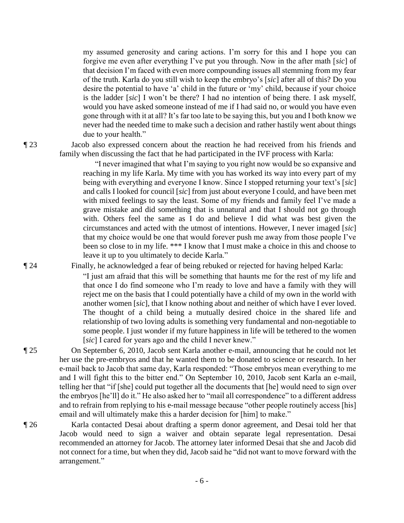my assumed generosity and caring actions. I'm sorry for this and I hope you can forgive me even after everything I've put you through. Now in the after math [*sic*] of that decision I'm faced with even more compounding issues all stemming from my fear of the truth. Karla do you still wish to keep the embryo's [*sic*] after all of this? Do you desire the potential to have 'a' child in the future or 'my' child, because if your choice is the ladder [*sic*] I won't be there? I had no intention of being there. I ask myself, would you have asked someone instead of me if I had said no, or would you have even gone through with it at all? It's far too late to be saying this, but you and I both know we never had the needed time to make such a decision and rather hastily went about things due to your health."

¶ 23 Jacob also expressed concern about the reaction he had received from his friends and family when discussing the fact that he had participated in the IVF process with Karla:

> "I never imagined that what I'm saying to you right now would be so expansive and reaching in my life Karla. My time with you has worked its way into every part of my being with everything and everyone I know. Since I stopped returning your text's [*sic*] and calls I looked for council [*sic*] from just about everyone I could, and have been met with mixed feelings to say the least. Some of my friends and family feel I've made a grave mistake and did something that is unnatural and that I should not go through with. Others feel the same as I do and believe I did what was best given the circumstances and acted with the utmost of intentions. However, I never imaged [*sic*] that my choice would be one that would forever push me away from those people I've been so close to in my life. \*\*\* I know that I must make a choice in this and choose to leave it up to you ultimately to decide Karla."

¶ 24 Finally, he acknowledged a fear of being rebuked or rejected for having helped Karla:

"I just am afraid that this will be something that haunts me for the rest of my life and that once I do find someone who I'm ready to love and have a family with they will reject me on the basis that I could potentially have a child of my own in the world with another women [*sic*], that I know nothing about and neither of which have I ever loved. The thought of a child being a mutually desired choice in the shared life and relationship of two loving adults is something very fundamental and non-negotiable to some people. I just wonder if my future happiness in life will be tethered to the women [sic] I cared for years ago and the child I never knew."

¶ 25 On September 6, 2010, Jacob sent Karla another e-mail, announcing that he could not let her use the pre-embryos and that he wanted them to be donated to science or research. In her e-mail back to Jacob that same day, Karla responded: "Those embryos mean everything to me and I will fight this to the bitter end." On September 10, 2010, Jacob sent Karla an e-mail, telling her that "if [she] could put together all the documents that [he] would need to sign over the embryos [he'll] do it." He also asked her to "mail all correspondence" to a different address and to refrain from replying to his e-mail message because "other people routinely access [his] email and will ultimately make this a harder decision for [him] to make."

¶ 26 Karla contacted Desai about drafting a sperm donor agreement, and Desai told her that Jacob would need to sign a waiver and obtain separate legal representation. Desai recommended an attorney for Jacob. The attorney later informed Desai that she and Jacob did not connect for a time, but when they did, Jacob said he "did not want to move forward with the arrangement."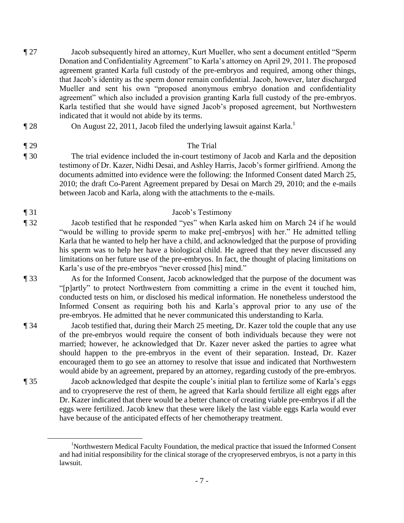- ¶ 27 Jacob subsequently hired an attorney, Kurt Mueller, who sent a document entitled "Sperm Donation and Confidentiality Agreement" to Karla's attorney on April 29, 2011. The proposed agreement granted Karla full custody of the pre-embryos and required, among other things, that Jacob's identity as the sperm donor remain confidential. Jacob, however, later discharged Mueller and sent his own "proposed anonymous embryo donation and confidentiality agreement" which also included a provision granting Karla full custody of the pre-embryos. Karla testified that she would have signed Jacob's proposed agreement, but Northwestern indicated that it would not abide by its terms.
- **Texas 22, 2011, Jacob filed the underlying lawsuit against Karla.**<sup>1</sup>

# ¶ 29 The Trial

 $\overline{a}$ 

- ¶ 30 The trial evidence included the in-court testimony of Jacob and Karla and the deposition testimony of Dr. Kazer, Nidhi Desai, and Ashley Harris, Jacob's former girlfriend. Among the documents admitted into evidence were the following: the Informed Consent dated March 25, 2010; the draft Co-Parent Agreement prepared by Desai on March 29, 2010; and the e-mails between Jacob and Karla, along with the attachments to the e-mails.
- ¶ 31 Jacob's Testimony
- ¶ 32 Jacob testified that he responded "yes" when Karla asked him on March 24 if he would "would be willing to provide sperm to make pre[-embryos] with her." He admitted telling Karla that he wanted to help her have a child, and acknowledged that the purpose of providing his sperm was to help her have a biological child. He agreed that they never discussed any limitations on her future use of the pre-embryos. In fact, the thought of placing limitations on Karla's use of the pre-embryos "never crossed [his] mind."
- ¶ 33 As for the Informed Consent, Jacob acknowledged that the purpose of the document was "[p]artly" to protect Northwestern from committing a crime in the event it touched him, conducted tests on him, or disclosed his medical information. He nonetheless understood the Informed Consent as requiring both his and Karla's approval prior to any use of the pre-embryos. He admitted that he never communicated this understanding to Karla.
- ¶ 34 Jacob testified that, during their March 25 meeting, Dr. Kazer told the couple that any use of the pre-embryos would require the consent of both individuals because they were not married; however, he acknowledged that Dr. Kazer never asked the parties to agree what should happen to the pre-embryos in the event of their separation. Instead, Dr. Kazer encouraged them to go see an attorney to resolve that issue and indicated that Northwestern would abide by an agreement, prepared by an attorney, regarding custody of the pre-embryos.
- ¶ 35 Jacob acknowledged that despite the couple's initial plan to fertilize some of Karla's eggs and to cryopreserve the rest of them, he agreed that Karla should fertilize all eight eggs after Dr. Kazer indicated that there would be a better chance of creating viable pre-embryos if all the eggs were fertilized. Jacob knew that these were likely the last viable eggs Karla would ever have because of the anticipated effects of her chemotherapy treatment.

<sup>1</sup>Northwestern Medical Faculty Foundation, the medical practice that issued the Informed Consent and had initial responsibility for the clinical storage of the cryopreserved embryos, is not a party in this lawsuit.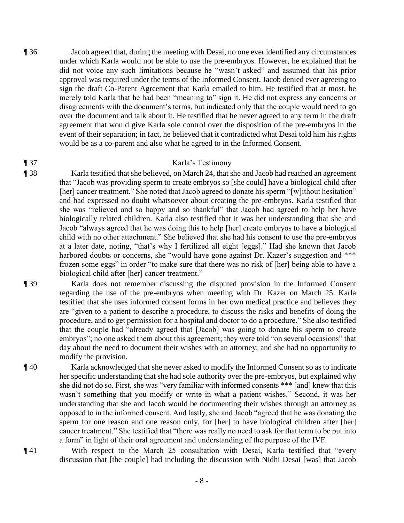¶ 36 Jacob agreed that, during the meeting with Desai, no one ever identified any circumstances under which Karla would not be able to use the pre-embryos. However, he explained that he did not voice any such limitations because he "wasn't asked" and assumed that his prior approval was required under the terms of the Informed Consent. Jacob denied ever agreeing to sign the draft Co-Parent Agreement that Karla emailed to him. He testified that at most, he merely told Karla that he had been "meaning to" sign it. He did not express any concerns or disagreements with the document's terms, but indicated only that the couple would need to go over the document and talk about it. He testified that he never agreed to any term in the draft agreement that would give Karla sole control over the disposition of the pre-embryos in the event of their separation; in fact, he believed that it contradicted what Desai told him his rights would be as a co-parent and also what he agreed to in the Informed Consent.

#### ¶ 37 Karla's Testimony

¶ 38 Karla testified that she believed, on March 24, that she and Jacob had reached an agreement that "Jacob was providing sperm to create embryos so [she could] have a biological child after [her] cancer treatment." She noted that Jacob agreed to donate his sperm "[w]ithout hesitation" and had expressed no doubt whatsoever about creating the pre-embryos. Karla testified that she was "relieved and so happy and so thankful" that Jacob had agreed to help her have biologically related children. Karla also testified that it was her understanding that she and Jacob "always agreed that he was doing this to help [her] create embryos to have a biological child with no other attachment." She believed that she had his consent to use the pre-embryos at a later date, noting, "that's why I fertilized all eight [eggs]." Had she known that Jacob harbored doubts or concerns, she "would have gone against Dr. Kazer's suggestion and \*\*\* frozen some eggs" in order "to make sure that there was no risk of [her] being able to have a biological child after [her] cancer treatment."

¶ 39 Karla does not remember discussing the disputed provision in the Informed Consent regarding the use of the pre-embryos when meeting with Dr. Kazer on March 25. Karla testified that she uses informed consent forms in her own medical practice and believes they are "given to a patient to describe a procedure, to discuss the risks and benefits of doing the procedure, and to get permission for a hospital and doctor to do a procedure." She also testified that the couple had "already agreed that [Jacob] was going to donate his sperm to create embryos"; no one asked them about this agreement; they were told "on several occasions" that day about the need to document their wishes with an attorney; and she had no opportunity to modify the provision.

¶ 40 Karla acknowledged that she never asked to modify the Informed Consent so as to indicate her specific understanding that she had sole authority over the pre-embryos, but explained why she did not do so. First, she was "very familiar with informed consents \*\*\* [and] knew that this wasn't something that you modify or write in what a patient wishes." Second, it was her understanding that she and Jacob would be documenting their wishes through an attorney as opposed to in the informed consent. And lastly, she and Jacob "agreed that he was donating the sperm for one reason and one reason only, for [her] to have biological children after [her] cancer treatment." She testified that "there was really no need to ask for that term to be put into a form" in light of their oral agreement and understanding of the purpose of the IVF.

¶ 41 With respect to the March 25 consultation with Desai, Karla testified that "every discussion that [the couple] had including the discussion with Nidhi Desai [was] that Jacob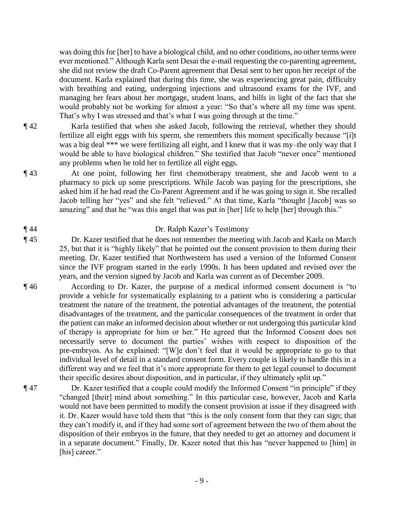was doing this for [her] to have a biological child, and no other conditions, no other terms were ever mentioned." Although Karla sent Desai the e-mail requesting the co-parenting agreement, she did not review the draft Co-Parent agreement that Desai sent to her upon her receipt of the document. Karla explained that during this time, she was experiencing great pain, difficulty with breathing and eating, undergoing injections and ultrasound exams for the IVF, and managing her fears about her mortgage, student loans, and bills in light of the fact that she would probably not be working for almost a year: "So that's where all my time was spent. That's why I was stressed and that's what I was going through at the time."

- ¶ 42 Karla testified that when she asked Jacob, following the retrieval, whether they should fertilize all eight eggs with his sperm, she remembers this moment specifically because "[i]t was a big deal \*\*\* we were fertilizing all eight, and I knew that it was my–the only way that I would be able to have biological children." She testified that Jacob "never once" mentioned any problems when he told her to fertilize all eight eggs.
- ¶ 43 At one point, following her first chemotherapy treatment, she and Jacob went to a pharmacy to pick up some prescriptions. While Jacob was paying for the prescriptions, she asked him if he had read the Co-Parent Agreement and if he was going to sign it. She recalled Jacob telling her "yes" and she felt "relieved." At that time, Karla "thought [Jacob] was so amazing" and that he "was this angel that was put in [her] life to help [her] through this."

#### ¶ 44 Dr. Ralph Kazer's Testimony

- ¶ 45 Dr. Kazer testified that he does not remember the meeting with Jacob and Karla on March 25, but that it is "highly likely" that he pointed out the consent provision to them during their meeting. Dr. Kazer testified that Northwestern has used a version of the Informed Consent since the IVF program started in the early 1990s. It has been updated and revised over the years, and the version signed by Jacob and Karla was current as of December 2009.
- ¶ 46 According to Dr. Kazer, the purpose of a medical informed consent document is "to provide a vehicle for systematically explaining to a patient who is considering a particular treatment the nature of the treatment, the potential advantages of the treatment, the potential disadvantages of the treatment, and the particular consequences of the treatment in order that the patient can make an informed decision about whether or not undergoing this particular kind of therapy is appropriate for him or her." He agreed that the Informed Consent does not necessarily serve to document the parties' wishes with respect to disposition of the pre-embryos. As he explained: "[W]e don't feel that it would be appropriate to go to that individual level of detail in a standard consent form. Every couple is likely to handle this in a different way and we feel that it's more appropriate for them to get legal counsel to document their specific desires about disposition, and in particular, if they ultimately split up."
- ¶ 47 Dr. Kazer testified that a couple could modify the Informed Consent "in principle" if they "changed [their] mind about something." In this particular case, however, Jacob and Karla would not have been permitted to modify the consent provision at issue if they disagreed with it. Dr. Kazer would have told them that "this is the only consent form that they can sign; that they can't modify it, and if they had some sort of agreement between the two of them about the disposition of their embryos in the future, that they needed to get an attorney and document it in a separate document." Finally, Dr. Kazer noted that this has "never happened to [him] in [his] career."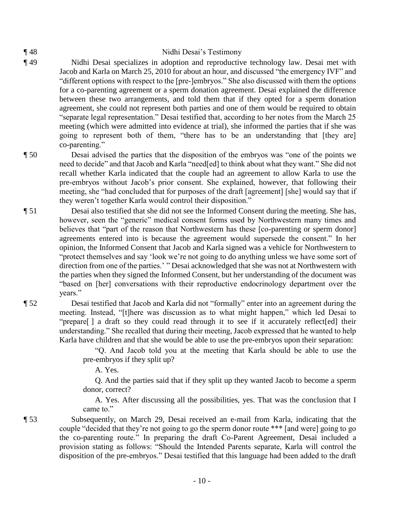#### ¶ 48 Nidhi Desai's Testimony

- ¶ 49 Nidhi Desai specializes in adoption and reproductive technology law. Desai met with Jacob and Karla on March 25, 2010 for about an hour, and discussed "the emergency IVF" and "different options with respect to the [pre-]embryos." She also discussed with them the options for a co-parenting agreement or a sperm donation agreement. Desai explained the difference between these two arrangements, and told them that if they opted for a sperm donation agreement, she could not represent both parties and one of them would be required to obtain "separate legal representation." Desai testified that, according to her notes from the March 25 meeting (which were admitted into evidence at trial), she informed the parties that if she was going to represent both of them, "there has to be an understanding that [they are] co-parenting."
- ¶ 50 Desai advised the parties that the disposition of the embryos was "one of the points we need to decide" and that Jacob and Karla "need[ed] to think about what they want." She did not recall whether Karla indicated that the couple had an agreement to allow Karla to use the pre-embryos without Jacob's prior consent. She explained, however, that following their meeting, she "had concluded that for purposes of the draft [agreement] [she] would say that if they weren't together Karla would control their disposition."
- ¶ 51 Desai also testified that she did not see the Informed Consent during the meeting. She has, however, seen the "generic" medical consent forms used by Northwestern many times and believes that "part of the reason that Northwestern has these [co-parenting or sperm donor] agreements entered into is because the agreement would supersede the consent." In her opinion, the Informed Consent that Jacob and Karla signed was a vehicle for Northwestern to "protect themselves and say 'look we're not going to do anything unless we have some sort of direction from one of the parties.' " Desai acknowledged that she was not at Northwestern with the parties when they signed the Informed Consent, but her understanding of the document was "based on [her] conversations with their reproductive endocrinology department over the years."
- ¶ 52 Desai testified that Jacob and Karla did not "formally" enter into an agreement during the meeting. Instead, "[t]here was discussion as to what might happen," which led Desai to "prepare[ ] a draft so they could read through it to see if it accurately reflect[ed] their understanding." She recalled that during their meeting, Jacob expressed that he wanted to help Karla have children and that she would be able to use the pre-embryos upon their separation:
	- "Q. And Jacob told you at the meeting that Karla should be able to use the pre-embryos if they split up?

A. Yes.

 Q. And the parties said that if they split up they wanted Jacob to become a sperm donor, correct?

 A. Yes. After discussing all the possibilities, yes. That was the conclusion that I came to."

¶ 53 Subsequently, on March 29, Desai received an e-mail from Karla, indicating that the couple "decided that they're not going to go the sperm donor route \*\*\* [and were] going to go the co-parenting route." In preparing the draft Co-Parent Agreement, Desai included a provision stating as follows: "Should the Intended Parents separate, Karla will control the disposition of the pre-embryos." Desai testified that this language had been added to the draft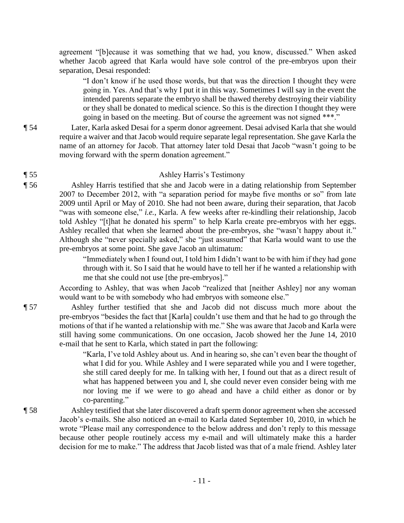agreement "[b]ecause it was something that we had, you know, discussed." When asked whether Jacob agreed that Karla would have sole control of the pre-embryos upon their separation, Desai responded:

"I don't know if he used those words, but that was the direction I thought they were going in. Yes. And that's why I put it in this way. Sometimes I will say in the event the intended parents separate the embryo shall be thawed thereby destroying their viability or they shall be donated to medical science. So this is the direction I thought they were going in based on the meeting. But of course the agreement was not signed \*\*\*."

¶ 54 Later, Karla asked Desai for a sperm donor agreement. Desai advised Karla that she would require a waiver and that Jacob would require separate legal representation. She gave Karla the name of an attorney for Jacob. That attorney later told Desai that Jacob "wasn't going to be moving forward with the sperm donation agreement."

#### ¶ 55 Ashley Harris's Testimony

¶ 56 Ashley Harris testified that she and Jacob were in a dating relationship from September 2007 to December 2012, with "a separation period for maybe five months or so" from late 2009 until April or May of 2010. She had not been aware, during their separation, that Jacob "was with someone else," *i.e.*, Karla. A few weeks after re-kindling their relationship, Jacob told Ashley "[t]hat he donated his sperm" to help Karla create pre-embryos with her eggs. Ashley recalled that when she learned about the pre-embryos, she "wasn't happy about it." Although she "never specially asked," she "just assumed" that Karla would want to use the pre-embryos at some point. She gave Jacob an ultimatum:

> "Immediately when I found out, I told him I didn't want to be with him if they had gone through with it. So I said that he would have to tell her if he wanted a relationship with me that she could not use [the pre-embryos]."

According to Ashley, that was when Jacob "realized that [neither Ashley] nor any woman would want to be with somebody who had embryos with someone else."

¶ 57 Ashley further testified that she and Jacob did not discuss much more about the pre-embryos "besides the fact that [Karla] couldn't use them and that he had to go through the motions of that if he wanted a relationship with me." She was aware that Jacob and Karla were still having some communications. On one occasion, Jacob showed her the June 14, 2010 e-mail that he sent to Karla, which stated in part the following:

> "Karla, I've told Ashley about us. And in hearing so, she can't even bear the thought of what I did for you. While Ashley and I were separated while you and I were together, she still cared deeply for me. In talking with her, I found out that as a direct result of what has happened between you and I, she could never even consider being with me nor loving me if we were to go ahead and have a child either as donor or by co-parenting."

¶ 58 Ashley testified that she later discovered a draft sperm donor agreement when she accessed Jacob's e-mails. She also noticed an e-mail to Karla dated September 10, 2010, in which he wrote "Please mail any correspondence to the below address and don't reply to this message because other people routinely access my e-mail and will ultimately make this a harder decision for me to make." The address that Jacob listed was that of a male friend. Ashley later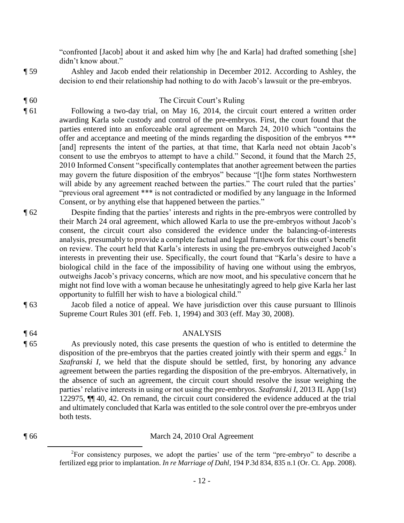"confronted [Jacob] about it and asked him why [he and Karla] had drafted something [she] didn't know about."

¶ 59 Ashley and Jacob ended their relationship in December 2012. According to Ashley, the decision to end their relationship had nothing to do with Jacob's lawsuit or the pre-embryos.

# ¶ 60 The Circuit Court's Ruling

¶ 61 Following a two-day trial, on May 16, 2014, the circuit court entered a written order awarding Karla sole custody and control of the pre-embryos. First, the court found that the parties entered into an enforceable oral agreement on March 24, 2010 which "contains the offer and acceptance and meeting of the minds regarding the disposition of the embryos \*\*\* [and] represents the intent of the parties, at that time, that Karla need not obtain Jacob's consent to use the embryos to attempt to have a child." Second, it found that the March 25, 2010 Informed Consent "specifically contemplates that another agreement between the parties may govern the future disposition of the embryos" because "[t]he form states Northwestern will abide by any agreement reached between the parties." The court ruled that the parties' "previous oral agreement \*\*\* is not contradicted or modified by any language in the Informed Consent, or by anything else that happened between the parties."

- ¶ 62 Despite finding that the parties' interests and rights in the pre-embryos were controlled by their March 24 oral agreement, which allowed Karla to use the pre-embryos without Jacob's consent, the circuit court also considered the evidence under the balancing-of-interests analysis, presumably to provide a complete factual and legal framework for this court's benefit on review. The court held that Karla's interests in using the pre-embryos outweighed Jacob's interests in preventing their use. Specifically, the court found that "Karla's desire to have a biological child in the face of the impossibility of having one without using the embryos, outweighs Jacob's privacy concerns, which are now moot, and his speculative concern that he might not find love with a woman because he unhesitatingly agreed to help give Karla her last opportunity to fulfill her wish to have a biological child."
- ¶ 63 Jacob filed a notice of appeal. We have jurisdiction over this cause pursuant to Illinois Supreme Court Rules 301 (eff. Feb. 1, 1994) and 303 (eff. May 30, 2008).

# ¶ 64 ANALYSIS

¶ 65 As previously noted, this case presents the question of who is entitled to determine the disposition of the pre-embryos that the parties created jointly with their sperm and eggs. $^2$  In *Szafranski I*, we held that the dispute should be settled, first, by honoring any advance agreement between the parties regarding the disposition of the pre-embryos. Alternatively, in the absence of such an agreement, the circuit court should resolve the issue weighing the parties' relative interests in using or not using the pre-embryos. *Szafranski I*, 2013 IL App (1st) 122975, ¶¶ 40, 42. On remand, the circuit court considered the evidence adduced at the trial and ultimately concluded that Karla was entitled to the sole control over the pre-embryos under both tests.

# ¶ 66 March 24, 2010 Oral Agreement

 $\overline{a}$ 

<sup>&</sup>lt;sup>2</sup>For consistency purposes, we adopt the parties' use of the term "pre-embryo" to describe a fertilized egg prior to implantation. *In re Marriage of Dahl*, 194 P.3d 834, 835 n.1 (Or. Ct. App. 2008).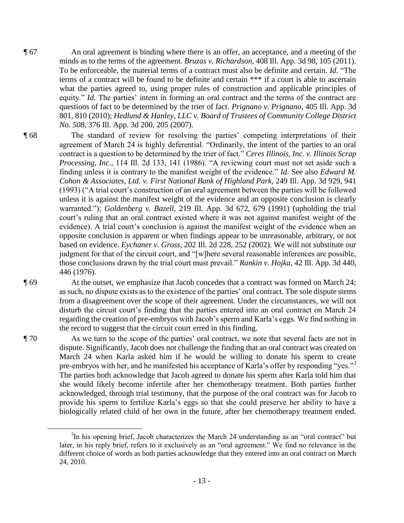- ¶ 67 An oral agreement is binding where there is an offer, an acceptance, and a meeting of the minds as to the terms of the agreement. *Bruzas v. Richardson*, 408 Ill. App. 3d 98, 105 (2011). To be enforceable, the material terms of a contract must also be definite and certain. *Id.* "The terms of a contract will be found to be definite and certain \*\*\* if a court is able to ascertain what the parties agreed to, using proper rules of construction and applicable principles of equity." *Id.* The parties' intent in forming an oral contract and the terms of the contract are questions of fact to be determined by the trier of fact. *Prignano v. Prignano*, 405 Ill. App. 3d 801, 810 (2010); *Hedlund & Hanley, LLC v. Board of Trustees of Community College District No. 508*, 376 Ill. App. 3d 200, 205 (2007).
- ¶ 68 The standard of review for resolving the parties' competing interpretations of their agreement of March 24 is highly deferential. "Ordinarily, the intent of the parties to an oral contract is a question to be determined by the trier of fact." *Ceres Illinois, Inc. v. Illinois Scrap Processing, Inc.*, 114 Ill. 2d 133, 141 (1986). "A reviewing court must not set aside such a finding unless it is contrary to the manifest weight of the evidence." *Id.* See also *Edward M. Cohon & Associates, Ltd. v. First National Bank of Highland Park*, 249 Ill. App. 3d 929, 941 (1993) ("A trial court's construction of an oral agreement between the parties will be followed unless it is against the manifest weight of the evidence and an opposite conclusion is clearly warranted."); *Goldenberg v. Bazell*, 219 Ill. App. 3d 672, 679 (1991) (upholding the trial court's ruling that an oral contract existed where it was not against manifest weight of the evidence). A trial court's conclusion is against the manifest weight of the evidence when an opposite conclusion is apparent or when findings appear to be unreasonable, arbitrary, or not based on evidence. *Eychaner v. Gross*, 202 Ill. 2d 228, 252 (2002). We will not substitute our judgment for that of the circuit court, and "[w]here several reasonable inferences are possible, those conclusions drawn by the trial court must prevail." *Rankin v. Hojka*, 42 Ill. App. 3d 440, 446 (1976).

 $\overline{a}$ 

¶ 69 At the outset, we emphasize that Jacob concedes that a contract was formed on March 24; as such, no dispute exists as to the existence of the parties' oral contract. The sole dispute stems from a disagreement over the scope of their agreement. Under the circumstances, we will not disturb the circuit court's finding that the parties entered into an oral contract on March 24 regarding the creation of pre-embryos with Jacob's sperm and Karla's eggs. We find nothing in the record to suggest that the circuit court erred in this finding.

¶ 70 As we turn to the scope of the parties' oral contract, we note that several facts are not in dispute. Significantly, Jacob does not challenge the finding that an oral contract was created on March 24 when Karla asked him if he would be willing to donate his sperm to create pre-embryos with her, and he manifested his acceptance of Karla's offer by responding "yes."<sup>3</sup> The parties both acknowledge that Jacob agreed to donate his sperm after Karla told him that she would likely become infertile after her chemotherapy treatment. Both parties further acknowledged, through trial testimony, that the purpose of the oral contract was for Jacob to provide his sperm to fertilize Karla's eggs so that she could preserve her ability to have a biologically related child of her own in the future, after her chemotherapy treatment ended.

<sup>&</sup>lt;sup>3</sup>In his opening brief, Jacob characterizes the March 24 understanding as an "oral contract" but later, in his reply brief, refers to it exclusively as an "oral agreement." We find no relevance in the different choice of words as both parties acknowledge that they entered into an oral contract on March 24, 2010.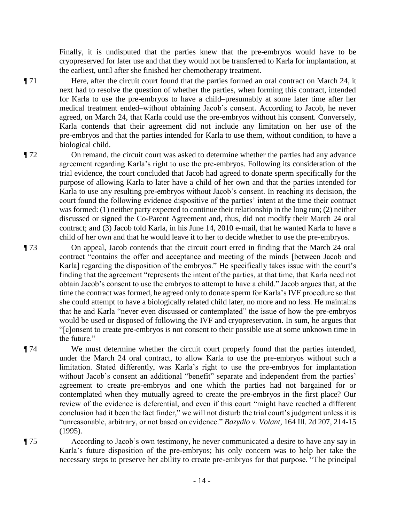Finally, it is undisputed that the parties knew that the pre-embryos would have to be cryopreserved for later use and that they would not be transferred to Karla for implantation, at the earliest, until after she finished her chemotherapy treatment.

¶ 71 Here, after the circuit court found that the parties formed an oral contract on March 24, it next had to resolve the question of whether the parties, when forming this contract, intended for Karla to use the pre-embryos to have a child–presumably at some later time after her medical treatment ended–without obtaining Jacob's consent. According to Jacob, he never agreed, on March 24, that Karla could use the pre-embryos without his consent. Conversely, Karla contends that their agreement did not include any limitation on her use of the pre-embryos and that the parties intended for Karla to use them, without condition, to have a biological child.

¶ 72 On remand, the circuit court was asked to determine whether the parties had any advance agreement regarding Karla's right to use the pre-embryos. Following its consideration of the trial evidence, the court concluded that Jacob had agreed to donate sperm specifically for the purpose of allowing Karla to later have a child of her own and that the parties intended for Karla to use any resulting pre-embryos without Jacob's consent. In reaching its decision, the court found the following evidence dispositive of the parties' intent at the time their contract was formed: (1) neither party expected to continue their relationship in the long run; (2) neither discussed or signed the Co-Parent Agreement and, thus, did not modify their March 24 oral contract; and (3) Jacob told Karla, in his June 14, 2010 e-mail, that he wanted Karla to have a child of her own and that he would leave it to her to decide whether to use the pre-embryos.

¶ 73 On appeal, Jacob contends that the circuit court erred in finding that the March 24 oral contract "contains the offer and acceptance and meeting of the minds [between Jacob and Karla] regarding the disposition of the embryos." He specifically takes issue with the court's finding that the agreement "represents the intent of the parties, at that time, that Karla need not obtain Jacob's consent to use the embryos to attempt to have a child." Jacob argues that, at the time the contract was formed, he agreed only to donate sperm for Karla's IVF procedure so that she could attempt to have a biologically related child later, no more and no less. He maintains that he and Karla "never even discussed or contemplated" the issue of how the pre-embryos would be used or disposed of following the IVF and cryopreservation. In sum, he argues that "[c]onsent to create pre-embryos is not consent to their possible use at some unknown time in the future."

¶ 74 We must determine whether the circuit court properly found that the parties intended, under the March 24 oral contract, to allow Karla to use the pre-embryos without such a limitation. Stated differently, was Karla's right to use the pre-embryos for implantation without Jacob's consent an additional "benefit" separate and independent from the parties' agreement to create pre-embryos and one which the parties had not bargained for or contemplated when they mutually agreed to create the pre-embryos in the first place? Our review of the evidence is deferential, and even if this court "might have reached a different conclusion had it been the fact finder," we will not disturb the trial court's judgment unless it is "unreasonable, arbitrary, or not based on evidence." *Bazydlo v. Volant*, 164 Ill. 2d 207, 214-15 (1995).

¶ 75 According to Jacob's own testimony, he never communicated a desire to have any say in Karla's future disposition of the pre-embryos; his only concern was to help her take the necessary steps to preserve her ability to create pre-embryos for that purpose. "The principal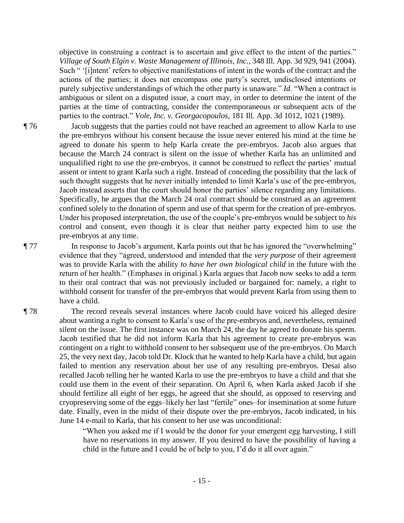objective in construing a contract is to ascertain and give effect to the intent of the parties." *Village of South Elgin v. Waste Management of Illinois, Inc.*, 348 Ill. App. 3d 929, 941 (2004). Such " '[i]ntent' refers to objective manifestations of intent in the words of the contract and the actions of the parties; it does not encompass one party's secret, undisclosed intentions or purely subjective understandings of which the other party is unaware." *Id*. "When a contract is ambiguous or silent on a disputed issue, a court may, in order to determine the intent of the parties at the time of contracting, consider the contemporaneous or subsequent acts of the parties to the contract." *Vole, Inc. v. Georgacopoulos*, 181 Ill. App. 3d 1012, 1021 (1989).

¶ 76 Jacob suggests that the parties could not have reached an agreement to allow Karla to use the pre-embryos without his consent because the issue never entered his mind at the time he agreed to donate his sperm to help Karla create the pre-embryos. Jacob also argues that because the March 24 contract is silent on the issue of whether Karla has an unlimited and unqualified right to use the pre-embryos, it cannot be construed to reflect the parties' mutual assent or intent to grant Karla such a right. Instead of conceding the possibility that the lack of such thought suggests that he never initially intended to limit Karla's use of the pre-embryos, Jacob instead asserts that the court should honor the parties' silence regarding any limitations. Specifically, he argues that the March 24 oral contract should be construed as an agreement confined solely to the donation of sperm and use of that sperm for the creation of pre-embryos. Under his proposed interpretation, the use of the couple's pre-embryos would be subject to *his*  control and consent, even though it is clear that neither party expected him to use the pre-embryos at any time.

¶ 77 In response to Jacob's argument, Karla points out that he has ignored the "overwhelming" evidence that they "agreed, understood and intended that the *very purpose* of their agreement was to provide Karla with the ability *to have her own biological child* in the future with the return of her health." (Emphases in original.) Karla argues that Jacob now seeks to add a term to their oral contract that was not previously included or bargained for: namely, a right to withhold consent for transfer of the pre-embryos that would prevent Karla from using them to have a child.

¶ 78 The record reveals several instances where Jacob could have voiced his alleged desire about wanting a right to consent to Karla's use of the pre-embryos and, nevertheless, remained silent on the issue. The first instance was on March 24, the day he agreed to donate his sperm. Jacob testified that he did not inform Karla that his agreement to create pre-embryos was contingent on a right to withhold consent to her subsequent use of the pre-embryos. On March 25, the very next day, Jacob told Dr. Klock that he wanted to help Karla have a child, but again failed to mention any reservation about her use of any resulting pre-embryos. Desai also recalled Jacob telling her he wanted Karla to use the pre-embryos to have a child and that she could use them in the event of their separation. On April 6, when Karla asked Jacob if she should fertilize all eight of her eggs, he agreed that she should, as opposed to reserving and cryopreserving some of the eggs–likely her last "fertile" ones–for insemination at some future date. Finally, even in the midst of their dispute over the pre-embryos, Jacob indicated, in his June 14 e-mail to Karla, that his consent to her use was unconditional:

> "When you asked me if I would be the donor for your emergent egg harvesting, I still have no reservations in my answer. If you desired to have the possibility of having a child in the future and I could be of help to you, I'd do it all over again."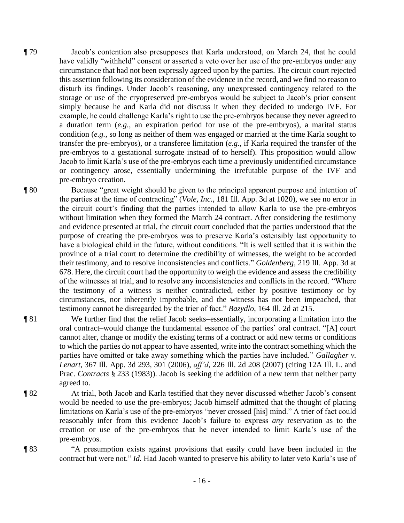¶ 79 Jacob's contention also presupposes that Karla understood, on March 24, that he could have validly "withheld" consent or asserted a veto over her use of the pre-embryos under any circumstance that had not been expressly agreed upon by the parties. The circuit court rejected this assertion following its consideration of the evidence in the record, and we find no reason to disturb its findings. Under Jacob's reasoning, any unexpressed contingency related to the storage or use of the cryopreserved pre-embryos would be subject to Jacob's prior consent simply because he and Karla did not discuss it when they decided to undergo IVF. For example, he could challenge Karla's right to use the pre-embryos because they never agreed to a duration term (*e.g.*, an expiration period for use of the pre-embryos), a marital status condition (*e.g.*, so long as neither of them was engaged or married at the time Karla sought to transfer the pre-embryos), or a transferee limitation (*e.g.*, if Karla required the transfer of the pre-embryos to a gestational surrogate instead of to herself). This proposition would allow Jacob to limit Karla's use of the pre-embryos each time a previously unidentified circumstance or contingency arose, essentially undermining the irrefutable purpose of the IVF and pre-embryo creation.

¶ 80 Because "great weight should be given to the principal apparent purpose and intention of the parties at the time of contracting" (*Vole, Inc.*, 181 Ill. App. 3d at 1020), we see no error in the circuit court's finding that the parties intended to allow Karla to use the pre-embryos without limitation when they formed the March 24 contract. After considering the testimony and evidence presented at trial, the circuit court concluded that the parties understood that the purpose of creating the pre-embryos was to preserve Karla's ostensibly last opportunity to have a biological child in the future, without conditions. "It is well settled that it is within the province of a trial court to determine the credibility of witnesses, the weight to be accorded their testimony, and to resolve inconsistencies and conflicts." *Goldenberg*, 219 Ill. App. 3d at 678. Here, the circuit court had the opportunity to weigh the evidence and assess the credibility of the witnesses at trial, and to resolve any inconsistencies and conflicts in the record. "Where the testimony of a witness is neither contradicted, either by positive testimony or by circumstances, nor inherently improbable, and the witness has not been impeached, that testimony cannot be disregarded by the trier of fact." *Bazydlo*, 164 Ill. 2d at 215.

¶ 81 We further find that the relief Jacob seeks–essentially, incorporating a limitation into the oral contract–would change the fundamental essence of the parties' oral contract. "[A] court cannot alter, change or modify the existing terms of a contract or add new terms or conditions to which the parties do not appear to have assented, write into the contract something which the parties have omitted or take away something which the parties have included." *Gallagher v. Lenart*, 367 Ill. App. 3d 293, 301 (2006), *aff'd*, 226 Ill. 2d 208 (2007) (citing 12A Ill. L. and Prac. *Contracts* § 233 (1983)). Jacob is seeking the addition of a new term that neither party agreed to.

¶ 82 At trial, both Jacob and Karla testified that they never discussed whether Jacob's consent would be needed to use the pre-embryos; Jacob himself admitted that the thought of placing limitations on Karla's use of the pre-embryos "never crossed [his] mind." A trier of fact could reasonably infer from this evidence–Jacob's failure to express *any* reservation as to the creation or use of the pre-embryos–that he never intended to limit Karla's use of the pre-embryos.

¶ 83 "A presumption exists against provisions that easily could have been included in the contract but were not." *Id.* Had Jacob wanted to preserve his ability to later veto Karla's use of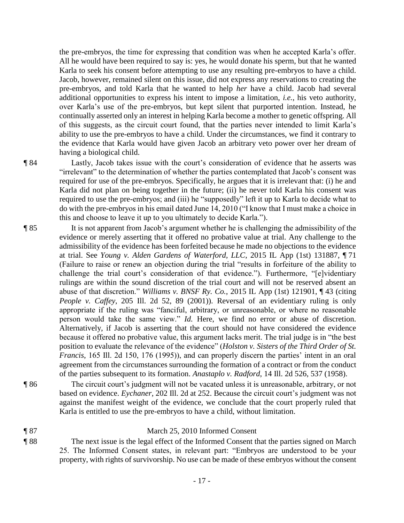the pre-embryos, the time for expressing that condition was when he accepted Karla's offer. All he would have been required to say is: yes, he would donate his sperm, but that he wanted Karla to seek his consent before attempting to use any resulting pre-embryos to have a child. Jacob, however, remained silent on this issue, did not express any reservations to creating the pre-embryos, and told Karla that he wanted to help *her* have a child. Jacob had several additional opportunities to express his intent to impose a limitation, *i.e.*, his veto authority, over Karla's use of the pre-embryos, but kept silent that purported intention. Instead, he continually asserted only an interest in helping Karla become a mother to genetic offspring. All of this suggests, as the circuit court found, that the parties never intended to limit Karla's ability to use the pre-embryos to have a child. Under the circumstances, we find it contrary to the evidence that Karla would have given Jacob an arbitrary veto power over her dream of having a biological child.

¶ 84 Lastly, Jacob takes issue with the court's consideration of evidence that he asserts was "irrelevant" to the determination of whether the parties contemplated that Jacob's consent was required for use of the pre-embryos. Specifically, he argues that it is irrelevant that: (i) he and Karla did not plan on being together in the future; (ii) he never told Karla his consent was required to use the pre-embryos; and (iii) he "supposedly" left it up to Karla to decide what to do with the pre-embryos in his email dated June 14, 2010 ("I know that I must make a choice in this and choose to leave it up to you ultimately to decide Karla.").

- ¶ 85 It is not apparent from Jacob's argument whether he is challenging the admissibility of the evidence or merely asserting that it offered no probative value at trial. Any challenge to the admissibility of the evidence has been forfeited because he made no objections to the evidence at trial. See *Young v. Alden Gardens of Waterford, LLC*, 2015 IL App (1st) 131887, ¶ 71 (Failure to raise or renew an objection during the trial "results in forfeiture of the ability to challenge the trial court's consideration of that evidence."). Furthermore, "[e]videntiary rulings are within the sound discretion of the trial court and will not be reserved absent an abuse of that discretion." *Williams v. BNSF Ry. Co.*, 2015 IL App (1st) 121901, ¶ 43 (citing *People v. Caffey*, 205 Ill. 2d 52, 89 (2001)). Reversal of an evidentiary ruling is only appropriate if the ruling was "fanciful, arbitrary, or unreasonable, or where no reasonable person would take the same view." *Id.* Here, we find no error or abuse of discretion. Alternatively, if Jacob is asserting that the court should not have considered the evidence because it offered no probative value, this argument lacks merit. The trial judge is in "the best position to evaluate the relevance of the evidence" (*Holston v. Sisters of the Third Order of St. Francis*, 165 Ill. 2d 150, 176 (1995)), and can properly discern the parties' intent in an oral agreement from the circumstances surrounding the formation of a contract or from the conduct of the parties subsequent to its formation. *Anastaplo v. Radford*, 14 Ill. 2d 526, 537 (1958).
- ¶ 86 The circuit court's judgment will not be vacated unless it is unreasonable, arbitrary, or not based on evidence. *Eychaner*, 202 Ill. 2d at 252. Because the circuit court's judgment was not against the manifest weight of the evidence, we conclude that the court properly ruled that Karla is entitled to use the pre-embryos to have a child, without limitation.

¶ 87 March 25, 2010 Informed Consent

# ¶ 88 The next issue is the legal effect of the Informed Consent that the parties signed on March 25. The Informed Consent states, in relevant part: "Embryos are understood to be your property, with rights of survivorship. No use can be made of these embryos without the consent

- 17 -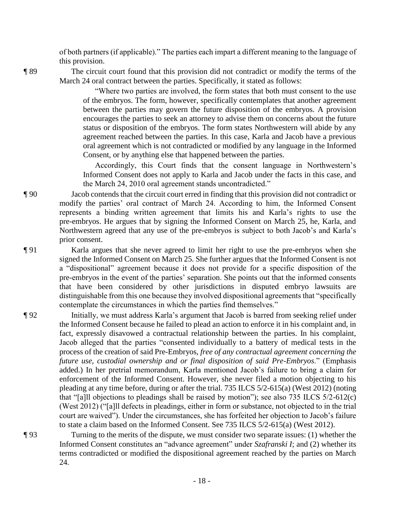of both partners (if applicable)." The parties each impart a different meaning to the language of this provision.

¶ 89 The circuit court found that this provision did not contradict or modify the terms of the March 24 oral contract between the parties. Specifically, it stated as follows:

> "Where two parties are involved, the form states that both must consent to the use of the embryos. The form, however, specifically contemplates that another agreement between the parties may govern the future disposition of the embryos. A provision encourages the parties to seek an attorney to advise them on concerns about the future status or disposition of the embryos. The form states Northwestern will abide by any agreement reached between the parties. In this case, Karla and Jacob have a previous oral agreement which is not contradicted or modified by any language in the Informed Consent, or by anything else that happened between the parties.

> Accordingly, this Court finds that the consent language in Northwestern's Informed Consent does not apply to Karla and Jacob under the facts in this case, and the March 24, 2010 oral agreement stands uncontradicted."

¶ 90 Jacob contends that the circuit court erred in finding that this provision did not contradict or modify the parties' oral contract of March 24. According to him, the Informed Consent represents a binding written agreement that limits his and Karla's rights to use the pre-embryos. He argues that by signing the Informed Consent on March 25, he, Karla, and Northwestern agreed that any use of the pre-embryos is subject to both Jacob's and Karla's prior consent.

¶ 91 Karla argues that she never agreed to limit her right to use the pre-embryos when she signed the Informed Consent on March 25. She further argues that the Informed Consent is not a "dispositional" agreement because it does not provide for a specific disposition of the pre-embryos in the event of the parties' separation. She points out that the informed consents that have been considered by other jurisdictions in disputed embryo lawsuits are distinguishable from this one because they involved dispositional agreements that "specifically contemplate the circumstances in which the parties find themselves."

¶ 92 Initially, we must address Karla's argument that Jacob is barred from seeking relief under the Informed Consent because he failed to plead an action to enforce it in his complaint and, in fact, expressly disavowed a contractual relationship between the parties. In his complaint, Jacob alleged that the parties "consented individually to a battery of medical tests in the process of the creation of said Pre-Embryos, *free of any contractual agreement concerning the future use, custodial ownership and or final disposition of said Pre-Embryos*." (Emphasis added.) In her pretrial memorandum, Karla mentioned Jacob's failure to bring a claim for enforcement of the Informed Consent. However, she never filed a motion objecting to his pleading at any time before, during or after the trial. 735 ILCS 5/2-615(a) (West 2012) (noting that "[a]ll objections to pleadings shall be raised by motion"); see also 735 ILCS 5/2-612(c) (West 2012) ("[a]ll defects in pleadings, either in form or substance, not objected to in the trial court are waived"). Under the circumstances, she has forfeited her objection to Jacob's failure to state a claim based on the Informed Consent. See 735 ILCS 5/2-615(a) (West 2012).

¶ 93 Turning to the merits of the dispute, we must consider two separate issues: (1) whether the Informed Consent constitutes an "advance agreement" under *Szafranski I*; and (2) whether its terms contradicted or modified the dispositional agreement reached by the parties on March 24.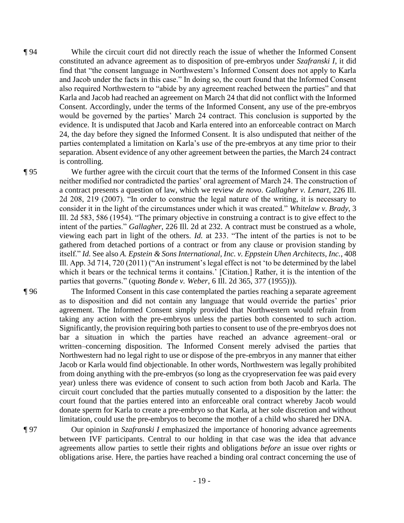¶ 94 While the circuit court did not directly reach the issue of whether the Informed Consent constituted an advance agreement as to disposition of pre-embryos under *Szafranski I*, it did find that "the consent language in Northwestern's Informed Consent does not apply to Karla and Jacob under the facts in this case." In doing so, the court found that the Informed Consent also required Northwestern to "abide by any agreement reached between the parties" and that Karla and Jacob had reached an agreement on March 24 that did not conflict with the Informed Consent. Accordingly, under the terms of the Informed Consent, any use of the pre-embryos would be governed by the parties' March 24 contract. This conclusion is supported by the evidence. It is undisputed that Jacob and Karla entered into an enforceable contract on March 24, the day before they signed the Informed Consent. It is also undisputed that neither of the parties contemplated a limitation on Karla's use of the pre-embryos at any time prior to their separation. Absent evidence of any other agreement between the parties, the March 24 contract is controlling.

¶ 95 We further agree with the circuit court that the terms of the Informed Consent in this case neither modified nor contradicted the parties' oral agreement of March 24. The construction of a contract presents a question of law, which we review *de novo*. *Gallagher v. Lenart*, 226 Ill. 2d 208, 219 (2007). "In order to construe the legal nature of the writing, it is necessary to consider it in the light of the circumstances under which it was created." *Whitelaw v. Brady*, 3 Ill. 2d 583, 586 (1954). "The primary objective in construing a contract is to give effect to the intent of the parties." *Gallagher*, 226 Ill. 2d at 232. A contract must be construed as a whole, viewing each part in light of the others. *Id.* at 233. "The intent of the parties is not to be gathered from detached portions of a contract or from any clause or provision standing by itself." *Id.* See also *A. Epstein & Sons International, Inc. v. Eppstein Uhen Architects, Inc.*, 408 Ill. App. 3d 714, 720 (2011) ("An instrument's legal effect is not 'to be determined by the label which it bears or the technical terms it contains.' [Citation.] Rather, it is the intention of the parties that governs." (quoting *Bonde v. Weber*, 6 Ill. 2d 365, 377 (1955))).

¶ 96 The Informed Consent in this case contemplated the parties reaching a separate agreement as to disposition and did not contain any language that would override the parties' prior agreement. The Informed Consent simply provided that Northwestern would refrain from taking any action with the pre-embryos unless the parties both consented to such action. Significantly, the provision requiring both parties to consent to use of the pre-embryos does not bar a situation in which the parties have reached an advance agreement–oral or written–concerning disposition. The Informed Consent merely advised the parties that Northwestern had no legal right to use or dispose of the pre-embryos in any manner that either Jacob or Karla would find objectionable. In other words, Northwestern was legally prohibited from doing anything with the pre-embryos (so long as the cryopreservation fee was paid every year) unless there was evidence of consent to such action from both Jacob and Karla. The circuit court concluded that the parties mutually consented to a disposition by the latter: the court found that the parties entered into an enforceable oral contract whereby Jacob would donate sperm for Karla to create a pre-embryo so that Karla, at her sole discretion and without limitation, could use the pre-embryos to become the mother of a child who shared her DNA.

¶ 97 Our opinion in *Szafranski I* emphasized the importance of honoring advance agreements between IVF participants. Central to our holding in that case was the idea that advance agreements allow parties to settle their rights and obligations *before* an issue over rights or obligations arise. Here, the parties have reached a binding oral contract concerning the use of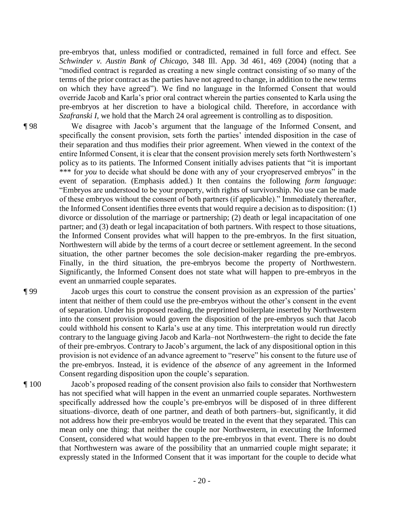pre-embryos that, unless modified or contradicted, remained in full force and effect. See *Schwinder v. Austin Bank of Chicago*, 348 Ill. App. 3d 461, 469 (2004) (noting that a "modified contract is regarded as creating a new single contract consisting of so many of the terms of the prior contract as the parties have not agreed to change, in addition to the new terms on which they have agreed"). We find no language in the Informed Consent that would override Jacob and Karla's prior oral contract wherein the parties consented to Karla using the pre-embryos at her discretion to have a biological child. Therefore, in accordance with *Szafranski I*, we hold that the March 24 oral agreement is controlling as to disposition.

¶ 98 We disagree with Jacob's argument that the language of the Informed Consent, and specifically the consent provision, sets forth the parties' intended disposition in the case of their separation and thus modifies their prior agreement. When viewed in the context of the entire Informed Consent, it is clear that the consent provision merely sets forth Northwestern's policy as to its patients. The Informed Consent initially advises patients that "it is important \*\*\* for *you* to decide what should be done with any of your cryopreserved embryos" in the event of separation. (Emphasis added.) It then contains the following *form language*: "Embryos are understood to be your property, with rights of survivorship. No use can be made of these embryos without the consent of both partners (if applicable)." Immediately thereafter, the Informed Consent identifies three events that would require a decision as to disposition: (1) divorce or dissolution of the marriage or partnership; (2) death or legal incapacitation of one partner; and (3) death or legal incapacitation of both partners. With respect to those situations, the Informed Consent provides what will happen to the pre-embryos. In the first situation, Northwestern will abide by the terms of a court decree or settlement agreement. In the second situation, the other partner becomes the sole decision-maker regarding the pre-embryos. Finally, in the third situation, the pre-embryos become the property of Northwestern. Significantly, the Informed Consent does not state what will happen to pre-embryos in the event an unmarried couple separates.

¶ 99 Jacob urges this court to construe the consent provision as an expression of the parties' intent that neither of them could use the pre-embryos without the other's consent in the event of separation. Under his proposed reading, the preprinted boilerplate inserted by Northwestern into the consent provision would govern the disposition of the pre-embryos such that Jacob could withhold his consent to Karla's use at any time. This interpretation would run directly contrary to the language giving Jacob and Karla–not Northwestern–the right to decide the fate of their pre-embryos. Contrary to Jacob's argument, the lack of any dispositional option in this provision is not evidence of an advance agreement to "reserve" his consent to the future use of the pre-embryos. Instead, it is evidence of the *absence* of any agreement in the Informed Consent regarding disposition upon the couple's separation.

¶ 100 Jacob's proposed reading of the consent provision also fails to consider that Northwestern has not specified what will happen in the event an unmarried couple separates. Northwestern specifically addressed how the couple's pre-embryos will be disposed of in three different situations–divorce, death of one partner, and death of both partners–but, significantly, it did not address how their pre-embryos would be treated in the event that they separated. This can mean only one thing: that neither the couple nor Northwestern, in executing the Informed Consent, considered what would happen to the pre-embryos in that event. There is no doubt that Northwestern was aware of the possibility that an unmarried couple might separate; it expressly stated in the Informed Consent that it was important for the couple to decide what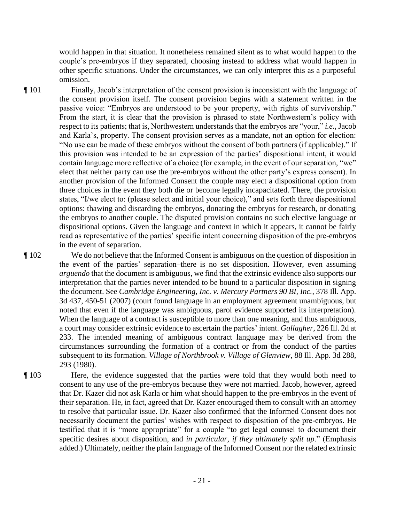would happen in that situation. It nonetheless remained silent as to what would happen to the couple's pre-embryos if they separated, choosing instead to address what would happen in other specific situations. Under the circumstances, we can only interpret this as a purposeful omission.

¶ 101 Finally, Jacob's interpretation of the consent provision is inconsistent with the language of the consent provision itself. The consent provision begins with a statement written in the passive voice: "Embryos are understood to be your property, with rights of survivorship." From the start, it is clear that the provision is phrased to state Northwestern's policy with respect to its patients; that is, Northwestern understands that the embryos are "your," *i.e.*, Jacob and Karla's, property. The consent provision serves as a mandate, not an option for election: "No use can be made of these embryos without the consent of both partners (if applicable)." If this provision was intended to be an expression of the parties' dispositional intent, it would contain language more reflective of a choice (for example, in the event of our separation, "we" elect that neither party can use the pre-embryos without the other party's express consent). In another provision of the Informed Consent the couple may elect a dispositional option from three choices in the event they both die or become legally incapacitated. There, the provision states, "I/we elect to: (please select and initial your choice)," and sets forth three dispositional options: thawing and discarding the embryos, donating the embryos for research, or donating the embryos to another couple. The disputed provision contains no such elective language or dispositional options. Given the language and context in which it appears, it cannot be fairly read as representative of the parties' specific intent concerning disposition of the pre-embryos in the event of separation.

¶ 102 We do not believe that the Informed Consent is ambiguous on the question of disposition in the event of the parties' separation–there is no set disposition. However, even assuming *arguendo* that the document is ambiguous, we find that the extrinsic evidence also supports our interpretation that the parties never intended to be bound to a particular disposition in signing the document. See *Cambridge Engineering, Inc. v. Mercury Partners 90 BI, Inc.*, 378 Ill. App. 3d 437, 450-51 (2007) (court found language in an employment agreement unambiguous, but noted that even if the language was ambiguous, parol evidence supported its interpretation). When the language of a contract is susceptible to more than one meaning, and thus ambiguous, a court may consider extrinsic evidence to ascertain the parties' intent. *Gallagher*, 226 Ill. 2d at 233. The intended meaning of ambiguous contract language may be derived from the circumstances surrounding the formation of a contract or from the conduct of the parties subsequent to its formation. *Village of Northbrook v. Village of Glenview*, 88 Ill. App. 3d 288, 293 (1980).

¶ 103 Here, the evidence suggested that the parties were told that they would both need to consent to any use of the pre-embryos because they were not married. Jacob, however, agreed that Dr. Kazer did not ask Karla or him what should happen to the pre-embryos in the event of their separation. He, in fact, agreed that Dr. Kazer encouraged them to consult with an attorney to resolve that particular issue. Dr. Kazer also confirmed that the Informed Consent does not necessarily document the parties' wishes with respect to disposition of the pre-embryos. He testified that it is "more appropriate" for a couple "to get legal counsel to document their specific desires about disposition, and *in particular, if they ultimately split up*." (Emphasis added.) Ultimately, neither the plain language of the Informed Consent nor the related extrinsic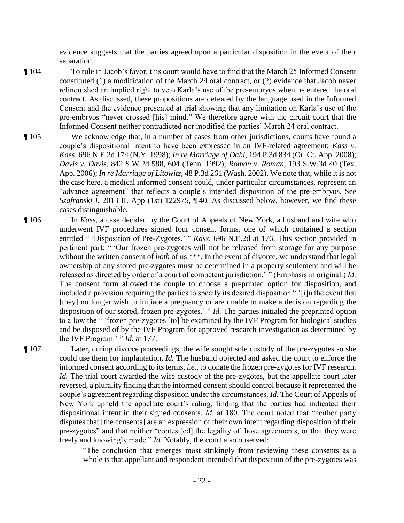evidence suggests that the parties agreed upon a particular disposition in the event of their separation.

- ¶ 104 To rule in Jacob's favor, this court would have to find that the March 25 Informed Consent constituted (1) a modification of the March 24 oral contract, or (2) evidence that Jacob never relinquished an implied right to veto Karla's use of the pre-embryos when he entered the oral contract. As discussed, these propositions are defeated by the language used in the Informed Consent and the evidence presented at trial showing that any limitation on Karla's use of the pre-embryos "never crossed [his] mind." We therefore agree with the circuit court that the Informed Consent neither contradicted nor modified the parties' March 24 oral contract.
- ¶ 105 We acknowledge that, in a number of cases from other jurisdictions, courts have found a couple's dispositional intent to have been expressed in an IVF-related agreement: *Kass v. Kass*, 696 N.E.2d 174 (N.Y. 1998); *In re Marriage of Dahl*, 194 P.3d 834 (Or. Ct. App. 2008); *Davis v. Davis*, 842 S.W.2d 588, 604 (Tenn. 1992); *Roman v. Roman*, 193 S.W.3d 40 (Tex. App. 2006); *In re Marriage of Litowitz*, 48 P.3d 261 (Wash. 2002). We note that, while it is not the case here, a medical informed consent could, under particular circumstances, represent an "advance agreement" that reflects a couple's intended disposition of the pre-embryos. See *Szafranski I*, 2013 IL App (1st) 122975, ¶ 40. As discussed below, however, we find these cases distinguishable.
- ¶ 106 In *Kass*, a case decided by the Court of Appeals of New York, a husband and wife who underwent IVF procedures signed four consent forms, one of which contained a section entitled " 'Disposition of Pre-Zygotes.' " *Kass*, 696 N.E.2d at 176. This section provided in pertinent part: " 'Our frozen pre-zygotes will not be released from storage for any purpose without the written consent of *both* of us \*\*\*. In the event of divorce, we understand that legal ownership of any stored pre-zygotes must be determined in a property settlement and will be released as directed by order of a court of competent jurisdiction.' " (Emphasis in original.) *Id.* The consent form allowed the couple to choose a preprinted option for disposition, and included a provision requiring the parties to specify its desired disposition " '[i]n the event that [they] no longer wish to initiate a pregnancy or are unable to make a decision regarding the disposition of our stored, frozen pre-zygotes.' " *Id.* The parties initialed the preprinted option to allow the " 'frozen pre-zygotes [to] be examined by the IVF Program for biological studies and be disposed of by the IVF Program for approved research investigation as determined by the IVF Program.' " *Id.* at 177.
- ¶ 107 Later, during divorce proceedings, the wife sought sole custody of the pre-zygotes so she could use them for implantation. *Id.* The husband objected and asked the court to enforce the informed consent according to its terms, *i.e.*, to donate the frozen pre-zygotes for IVF research. *Id.* The trial court awarded the wife custody of the pre-zygotes, but the appellate court later reversed, a plurality finding that the informed consent should control because it represented the couple's agreement regarding disposition under the circumstances. *Id.* The Court of Appeals of New York upheld the appellate court's ruling, finding that the parties had indicated their dispositional intent in their signed consents. *Id.* at 180. The court noted that "neither party disputes that [the consents] are an expression of their own intent regarding disposition of their pre-zygotes" and that neither "contest[ed] the legality of those agreements, or that they were freely and knowingly made." *Id.* Notably, the court also observed:

"The conclusion that emerges most strikingly from reviewing these consents as a whole is that appellant and respondent intended that disposition of the pre-zygotes was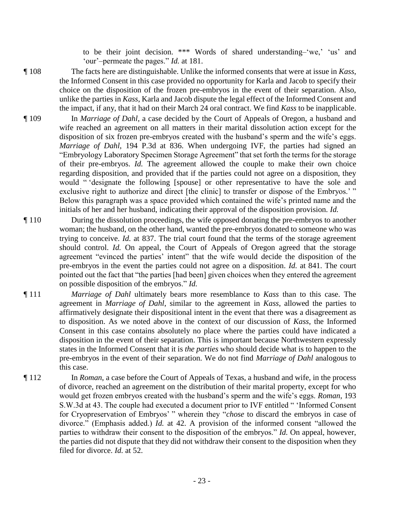to be their joint decision. \*\*\* Words of shared understanding–'we,' 'us' and 'our'–permeate the pages." *Id.* at 181.

¶ 108 The facts here are distinguishable. Unlike the informed consents that were at issue in *Kass*, the Informed Consent in this case provided no opportunity for Karla and Jacob to specify their choice on the disposition of the frozen pre-embryos in the event of their separation. Also, unlike the parties in *Kass*, Karla and Jacob dispute the legal effect of the Informed Consent and the impact, if any, that it had on their March 24 oral contract. We find *Kass* to be inapplicable.

- ¶ 109 In *Marriage of Dahl*, a case decided by the Court of Appeals of Oregon, a husband and wife reached an agreement on all matters in their marital dissolution action except for the disposition of six frozen pre-embryos created with the husband's sperm and the wife's eggs. *Marriage of Dahl*, 194 P.3d at 836. When undergoing IVF, the parties had signed an "Embryology Laboratory Specimen Storage Agreement" that set forth the terms for the storage of their pre-embryos. *Id.* The agreement allowed the couple to make their own choice regarding disposition, and provided that if the parties could not agree on a disposition, they would " 'designate the following [spouse] or other representative to have the sole and exclusive right to authorize and direct [the clinic] to transfer or dispose of the Embryos.' " Below this paragraph was a space provided which contained the wife's printed name and the initials of her and her husband, indicating their approval of the disposition provision. *Id.*
- ¶ 110 During the dissolution proceedings, the wife opposed donating the pre-embryos to another woman; the husband, on the other hand, wanted the pre-embryos donated to someone who was trying to conceive. *Id.* at 837. The trial court found that the terms of the storage agreement should control. *Id.* On appeal, the Court of Appeals of Oregon agreed that the storage agreement "evinced the parties' intent" that the wife would decide the disposition of the pre-embryos in the event the parties could not agree on a disposition. *Id.* at 841. The court pointed out the fact that "the parties [had been] given choices when they entered the agreement on possible disposition of the embryos." *Id.*
- ¶ 111 *Marriage of Dahl* ultimately bears more resemblance to *Kass* than to this case. The agreement in *Marriage of Dahl*, similar to the agreement in *Kass*, allowed the parties to affirmatively designate their dispositional intent in the event that there was a disagreement as to disposition. As we noted above in the context of our discussion of *Kass*, the Informed Consent in this case contains absolutely no place where the parties could have indicated a disposition in the event of their separation. This is important because Northwestern expressly states in the Informed Consent that it is *the parties* who should decide what is to happen to the pre-embryos in the event of their separation. We do not find *Marriage of Dahl* analogous to this case.
- ¶ 112 In *Roman*, a case before the Court of Appeals of Texas, a husband and wife, in the process of divorce, reached an agreement on the distribution of their marital property, except for who would get frozen embryos created with the husband's sperm and the wife's eggs. *Roman*, 193 S.W.3d at 43. The couple had executed a document prior to IVF entitled " 'Informed Consent for Cryopreservation of Embryos' " wherein they "*chose* to discard the embryos in case of divorce." (Emphasis added.) *Id.* at 42. A provision of the informed consent "allowed the parties to withdraw their consent to the disposition of the embryos." *Id.* On appeal, however, the parties did not dispute that they did not withdraw their consent to the disposition when they filed for divorce. *Id.* at 52.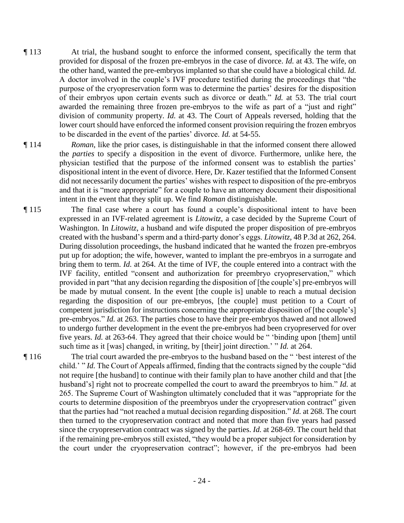- ¶ 113 At trial, the husband sought to enforce the informed consent, specifically the term that provided for disposal of the frozen pre-embryos in the case of divorce. *Id.* at 43. The wife, on the other hand, wanted the pre-embryos implanted so that she could have a biological child. *Id.* A doctor involved in the couple's IVF procedure testified during the proceedings that "the purpose of the cryopreservation form was to determine the parties' desires for the disposition of their embryos upon certain events such as divorce or death." *Id.* at 53. The trial court awarded the remaining three frozen pre-embryos to the wife as part of a "just and right" division of community property. *Id.* at 43. The Court of Appeals reversed, holding that the lower court should have enforced the informed consent provision requiring the frozen embryos to be discarded in the event of the parties' divorce. *Id.* at 54-55.
- ¶ 114 *Roman*, like the prior cases, is distinguishable in that the informed consent there allowed the *parties* to specify a disposition in the event of divorce. Furthermore, unlike here, the physician testified that the purpose of the informed consent was to establish the parties' dispositional intent in the event of divorce. Here, Dr. Kazer testified that the Informed Consent did not necessarily document the parties' wishes with respect to disposition of the pre-embryos and that it is "more appropriate" for a couple to have an attorney document their dispositional intent in the event that they split up. We find *Roman* distinguishable.
- ¶ 115 The final case where a court has found a couple's dispositional intent to have been expressed in an IVF-related agreement is *Litowitz*, a case decided by the Supreme Court of Washington. In *Litowitz*, a husband and wife disputed the proper disposition of pre-embryos created with the husband's sperm and a third-party donor's eggs. *Litowitz*, 48 P.3d at 262, 264. During dissolution proceedings, the husband indicated that he wanted the frozen pre-embryos put up for adoption; the wife, however, wanted to implant the pre-embryos in a surrogate and bring them to term. *Id.* at 264. At the time of IVF, the couple entered into a contract with the IVF facility, entitled "consent and authorization for preembryo cryopreservation," which provided in part "that any decision regarding the disposition of [the couple's] pre-embryos will be made by mutual consent. In the event [the couple is] unable to reach a mutual decision regarding the disposition of our pre-embryos, [the couple] must petition to a Court of competent jurisdiction for instructions concerning the appropriate disposition of [the couple's] pre-embryos." *Id.* at 263. The parties chose to have their pre-embryos thawed and not allowed to undergo further development in the event the pre-embryos had been cryopreserved for over five years. *Id.* at 263-64. They agreed that their choice would be " 'binding upon [them] until such time as it [was] changed, in writing, by [their] joint direction.' " *Id.* at 264.
- 

¶ 116 The trial court awarded the pre-embryos to the husband based on the " 'best interest of the child.' " *Id.* The Court of Appeals affirmed, finding that the contracts signed by the couple "did" not require [the husband] to continue with their family plan to have another child and that [the husband's] right not to procreate compelled the court to award the preembryos to him." *Id.* at 265. The Supreme Court of Washington ultimately concluded that it was "appropriate for the courts to determine disposition of the preembryos under the cryopreservation contract" given that the parties had "not reached a mutual decision regarding disposition." *Id.* at 268. The court then turned to the cryopreservation contract and noted that more than five years had passed since the cryopreservation contract was signed by the parties. *Id.* at 268-69. The court held that if the remaining pre-embryos still existed, "they would be a proper subject for consideration by the court under the cryopreservation contract"; however, if the pre-embryos had been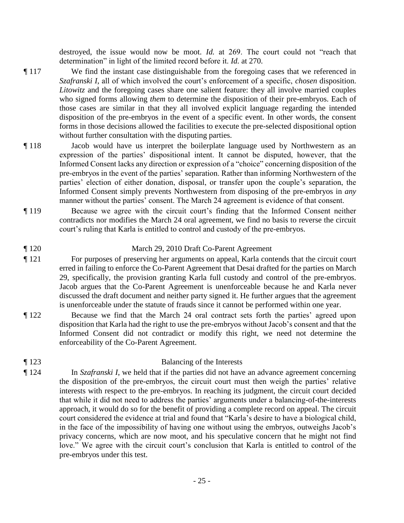destroyed, the issue would now be moot. *Id.* at 269. The court could not "reach that determination" in light of the limited record before it. *Id.* at 270.

- ¶ 117 We find the instant case distinguishable from the foregoing cases that we referenced in *Szafranski I*, all of which involved the court's enforcement of a specific, *chosen* disposition. *Litowitz* and the foregoing cases share one salient feature: they all involve married couples who signed forms allowing *them* to determine the disposition of their pre-embryos. Each of those cases are similar in that they all involved explicit language regarding the intended disposition of the pre-embryos in the event of a specific event. In other words, the consent forms in those decisions allowed the facilities to execute the pre-selected dispositional option without further consultation with the disputing parties.
- ¶ 118 Jacob would have us interpret the boilerplate language used by Northwestern as an expression of the parties' dispositional intent. It cannot be disputed, however, that the Informed Consent lacks any direction or expression of a "choice" concerning disposition of the pre-embryos in the event of the parties' separation. Rather than informing Northwestern of the parties' election of either donation, disposal, or transfer upon the couple's separation, the Informed Consent simply prevents Northwestern from disposing of the pre-embryos in *any*  manner without the parties' consent. The March 24 agreement is evidence of that consent.
- ¶ 119 Because we agree with the circuit court's finding that the Informed Consent neither contradicts nor modifies the March 24 oral agreement, we find no basis to reverse the circuit court's ruling that Karla is entitled to control and custody of the pre-embryos.

## ¶ 120 March 29, 2010 Draft Co-Parent Agreement

- ¶ 121 For purposes of preserving her arguments on appeal, Karla contends that the circuit court erred in failing to enforce the Co-Parent Agreement that Desai drafted for the parties on March 29, specifically, the provision granting Karla full custody and control of the pre-embryos. Jacob argues that the Co-Parent Agreement is unenforceable because he and Karla never discussed the draft document and neither party signed it. He further argues that the agreement is unenforceable under the statute of frauds since it cannot be performed within one year.
- ¶ 122 Because we find that the March 24 oral contract sets forth the parties' agreed upon disposition that Karla had the right to use the pre-embryos without Jacob's consent and that the Informed Consent did not contradict or modify this right, we need not determine the enforceability of the Co-Parent Agreement.

## ¶ 123 Balancing of the Interests

¶ 124 In *Szafranski I*, we held that if the parties did not have an advance agreement concerning the disposition of the pre-embryos, the circuit court must then weigh the parties' relative interests with respect to the pre-embryos. In reaching its judgment, the circuit court decided that while it did not need to address the parties' arguments under a balancing-of-the-interests approach, it would do so for the benefit of providing a complete record on appeal. The circuit court considered the evidence at trial and found that "Karla's desire to have a biological child, in the face of the impossibility of having one without using the embryos, outweighs Jacob's privacy concerns, which are now moot, and his speculative concern that he might not find love." We agree with the circuit court's conclusion that Karla is entitled to control of the pre-embryos under this test.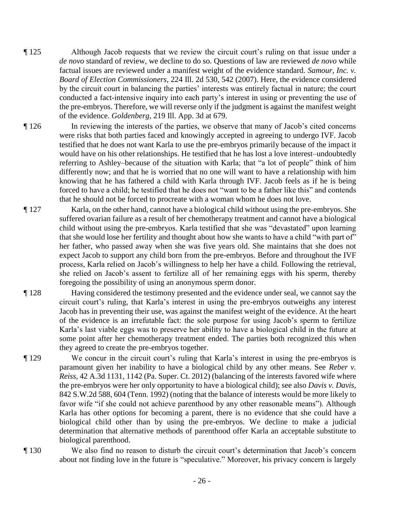- ¶ 125 Although Jacob requests that we review the circuit court's ruling on that issue under a *de novo* standard of review, we decline to do so. Questions of law are reviewed *de novo* while factual issues are reviewed under a manifest weight of the evidence standard. *Samour, Inc. v. Board of Election Commissioners*, 224 Ill. 2d 530, 542 (2007). Here, the evidence considered by the circuit court in balancing the parties' interests was entirely factual in nature; the court conducted a fact-intensive inquiry into each party's interest in using or preventing the use of the pre-embryos. Therefore, we will reverse only if the judgment is against the manifest weight of the evidence. *Goldenberg*, 219 Ill. App. 3d at 679.
- ¶ 126 In reviewing the interests of the parties, we observe that many of Jacob's cited concerns were risks that both parties faced and knowingly accepted in agreeing to undergo IVF. Jacob testified that he does not want Karla to use the pre-embryos primarily because of the impact it would have on his other relationships. He testified that he has lost a love interest–undoubtedly referring to Ashley–because of the situation with Karla; that "a lot of people" think of him differently now; and that he is worried that no one will want to have a relationship with him knowing that he has fathered a child with Karla through IVF. Jacob feels as if he is being forced to have a child; he testified that he does not "want to be a father like this" and contends that he should not be forced to procreate with a woman whom he does not love.
- ¶ 127 Karla, on the other hand, cannot have a biological child without using the pre-embryos. She suffered ovarian failure as a result of her chemotherapy treatment and cannot have a biological child without using the pre-embryos. Karla testified that she was "devastated" upon learning that she would lose her fertility and thought about how she wants to have a child "with part of" her father, who passed away when she was five years old. She maintains that she does not expect Jacob to support any child born from the pre-embryos. Before and throughout the IVF process, Karla relied on Jacob's willingness to help her have a child. Following the retrieval, she relied on Jacob's assent to fertilize all of her remaining eggs with his sperm, thereby foregoing the possibility of using an anonymous sperm donor.
- ¶ 128 Having considered the testimony presented and the evidence under seal, we cannot say the circuit court's ruling, that Karla's interest in using the pre-embryos outweighs any interest Jacob has in preventing their use, was against the manifest weight of the evidence. At the heart of the evidence is an irrefutable fact: the sole purpose for using Jacob's sperm to fertilize Karla's last viable eggs was to preserve her ability to have a biological child in the future at some point after her chemotherapy treatment ended. The parties both recognized this when they agreed to create the pre-embryos together.
- ¶ 129 We concur in the circuit court's ruling that Karla's interest in using the pre-embryos is paramount given her inability to have a biological child by any other means. See *Reber v. Reiss*, 42 A.3d 1131, 1142 (Pa. Super. Ct. 2012) (balancing of the interests favored wife where the pre-embryos were her only opportunity to have a biological child); see also *Davis v. Davis*, 842 S.W.2d 588, 604 (Tenn. 1992) (noting that the balance of interests would be more likely to favor wife "if she could not achieve parenthood by any other reasonable means"). Although Karla has other options for becoming a parent, there is no evidence that she could have a biological child other than by using the pre-embryos. We decline to make a judicial determination that alternative methods of parenthood offer Karla an acceptable substitute to biological parenthood.
- ¶ 130 We also find no reason to disturb the circuit court's determination that Jacob's concern about not finding love in the future is "speculative." Moreover, his privacy concern is largely
	- 26 -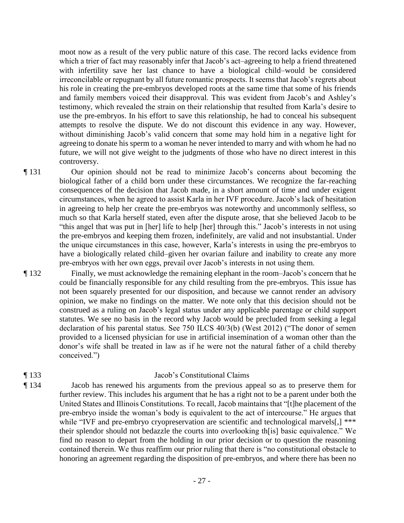moot now as a result of the very public nature of this case. The record lacks evidence from which a trier of fact may reasonably infer that Jacob's act–agreeing to help a friend threatened with infertility save her last chance to have a biological child–would be considered irreconcilable or repugnant by all future romantic prospects. It seems that Jacob's regrets about his role in creating the pre-embryos developed roots at the same time that some of his friends and family members voiced their disapproval. This was evident from Jacob's and Ashley's testimony, which revealed the strain on their relationship that resulted from Karla's desire to use the pre-embryos. In his effort to save this relationship, he had to conceal his subsequent attempts to resolve the dispute. We do not discount this evidence in any way. However, without diminishing Jacob's valid concern that some may hold him in a negative light for agreeing to donate his sperm to a woman he never intended to marry and with whom he had no future, we will not give weight to the judgments of those who have no direct interest in this controversy.

¶ 131 Our opinion should not be read to minimize Jacob's concerns about becoming the biological father of a child born under these circumstances. We recognize the far-reaching consequences of the decision that Jacob made, in a short amount of time and under exigent circumstances, when he agreed to assist Karla in her IVF procedure. Jacob's lack of hesitation in agreeing to help her create the pre-embryos was noteworthy and uncommonly selfless, so much so that Karla herself stated, even after the dispute arose, that she believed Jacob to be "this angel that was put in [her] life to help [her] through this." Jacob's interests in not using the pre-embryos and keeping them frozen, indefinitely, are valid and not insubstantial. Under the unique circumstances in this case, however, Karla's interests in using the pre-embryos to have a biologically related child–given her ovarian failure and inability to create any more pre-embryos with her own eggs, prevail over Jacob's interests in not using them.

¶ 132 Finally, we must acknowledge the remaining elephant in the room–Jacob's concern that he could be financially responsible for any child resulting from the pre-embryos. This issue has not been squarely presented for our disposition, and because we cannot render an advisory opinion, we make no findings on the matter. We note only that this decision should not be construed as a ruling on Jacob's legal status under any applicable parentage or child support statutes. We see no basis in the record why Jacob would be precluded from seeking a legal declaration of his parental status. See 750 ILCS 40/3(b) (West 2012) ("The donor of semen provided to a licensed physician for use in artificial insemination of a woman other than the donor's wife shall be treated in law as if he were not the natural father of a child thereby conceived.")

## ¶ 133 Jacob's Constitutional Claims

¶ 134 Jacob has renewed his arguments from the previous appeal so as to preserve them for further review. This includes his argument that he has a right not to be a parent under both the United States and Illinois Constitutions. To recall, Jacob maintains that "[t]he placement of the pre-embryo inside the woman's body is equivalent to the act of intercourse." He argues that while "IVF and pre-embryo cryopreservation are scientific and technological marvels<sup>[1]</sup> \*\*\* their splendor should not bedazzle the courts into overlooking th[is] basic equivalence." We find no reason to depart from the holding in our prior decision or to question the reasoning contained therein. We thus reaffirm our prior ruling that there is "no constitutional obstacle to honoring an agreement regarding the disposition of pre-embryos, and where there has been no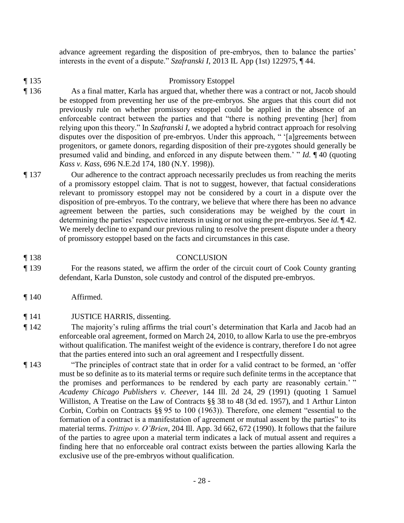advance agreement regarding the disposition of pre-embryos, then to balance the parties' interests in the event of a dispute." *Szafranski I*, 2013 IL App (1st) 122975, ¶ 44.

# ¶ 135 Promissory Estoppel

- ¶ 136 As a final matter, Karla has argued that, whether there was a contract or not, Jacob should be estopped from preventing her use of the pre-embryos. She argues that this court did not previously rule on whether promissory estoppel could be applied in the absence of an enforceable contract between the parties and that "there is nothing preventing [her] from relying upon this theory." In *Szafranski I*, we adopted a hybrid contract approach for resolving disputes over the disposition of pre-embryos. Under this approach, " '[a]greements between progenitors, or gamete donors, regarding disposition of their pre-zygotes should generally be presumed valid and binding, and enforced in any dispute between them.' " *Id.* ¶ 40 (quoting *Kass v. Kass*, 696 N.E.2d 174, 180 (N.Y. 1998)).
- ¶ 137 Our adherence to the contract approach necessarily precludes us from reaching the merits of a promissory estoppel claim. That is not to suggest, however, that factual considerations relevant to promissory estoppel may not be considered by a court in a dispute over the disposition of pre-embryos. To the contrary, we believe that where there has been no advance agreement between the parties, such considerations may be weighed by the court in determining the parties' respective interests in using or not using the pre-embryos. See *id.* ¶ 42. We merely decline to expand our previous ruling to resolve the present dispute under a theory of promissory estoppel based on the facts and circumstances in this case.
- ¶ 138 CONCLUSION
- ¶ 139 For the reasons stated, we affirm the order of the circuit court of Cook County granting defendant, Karla Dunston, sole custody and control of the disputed pre-embryos.
- ¶ 140 Affirmed.

¶ 141 JUSTICE HARRIS, dissenting.

- ¶ 142 The majority's ruling affirms the trial court's determination that Karla and Jacob had an enforceable oral agreement, formed on March 24, 2010, to allow Karla to use the pre-embryos without qualification. The manifest weight of the evidence is contrary, therefore I do not agree that the parties entered into such an oral agreement and I respectfully dissent.
- ¶ 143 "The principles of contract state that in order for a valid contract to be formed, an 'offer must be so definite as to its material terms or require such definite terms in the acceptance that the promises and performances to be rendered by each party are reasonably certain.' " *Academy Chicago Publishers v. Cheever*, 144 Ill. 2d 24, 29 (1991) (quoting 1 Samuel Williston, A Treatise on the Law of Contracts §§ 38 to 48 (3d ed. 1957), and 1 Arthur Linton Corbin, Corbin on Contracts §§ 95 to 100 (1963)). Therefore, one element "essential to the formation of a contract is a manifestation of agreement or mutual assent by the parties" to its material terms. *Trittipo v. O'Brien*, 204 Ill. App. 3d 662, 672 (1990). It follows that the failure of the parties to agree upon a material term indicates a lack of mutual assent and requires a finding here that no enforceable oral contract exists between the parties allowing Karla the exclusive use of the pre-embryos without qualification.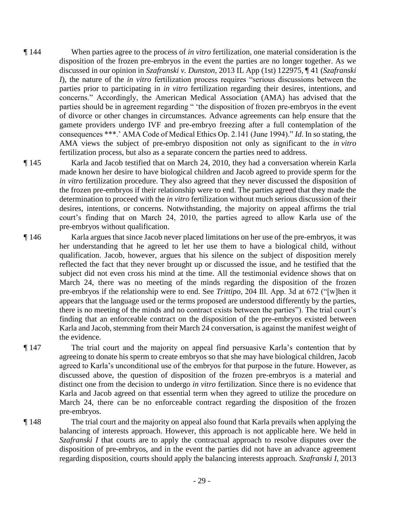- ¶ 144 When parties agree to the process of *in vitro* fertilization, one material consideration is the disposition of the frozen pre-embryos in the event the parties are no longer together. As we discussed in our opinion in *Szafranski v. Dunston*, 2013 IL App (1st) 122975, ¶ 41 (*Szafranski I*), the nature of the *in vitro* fertilization process requires "serious discussions between the parties prior to participating in *in vitro* fertilization regarding their desires, intentions, and concerns." Accordingly, the American Medical Association (AMA) has advised that the parties should be in agreement regarding " 'the disposition of frozen pre-embryos in the event of divorce or other changes in circumstances. Advance agreements can help ensure that the gamete providers undergo IVF and pre-embryo freezing after a full contemplation of the consequences \*\*\*.' AMA Code of Medical Ethics Op. 2.141 (June 1994)." *Id*. In so stating, the AMA views the subject of pre-embryo disposition not only as significant to the *in vitro* fertilization process, but also as a separate concern the parties need to address.
- ¶ 145 Karla and Jacob testified that on March 24, 2010, they had a conversation wherein Karla made known her desire to have biological children and Jacob agreed to provide sperm for the *in vitro* fertilization procedure. They also agreed that they never discussed the disposition of the frozen pre-embryos if their relationship were to end. The parties agreed that they made the determination to proceed with the *in vitro* fertilization without much serious discussion of their desires, intentions, or concerns. Notwithstanding, the majority on appeal affirms the trial court's finding that on March 24, 2010, the parties agreed to allow Karla use of the pre-embryos without qualification.
- ¶ 146 Karla argues that since Jacob never placed limitations on her use of the pre-embryos, it was her understanding that he agreed to let her use them to have a biological child, without qualification. Jacob, however, argues that his silence on the subject of disposition merely reflected the fact that they never brought up or discussed the issue, and he testified that the subject did not even cross his mind at the time. All the testimonial evidence shows that on March 24, there was no meeting of the minds regarding the disposition of the frozen pre-embryos if the relationship were to end. See *Trittipo*, 204 Ill. App. 3d at 672 ("[w]hen it appears that the language used or the terms proposed are understood differently by the parties, there is no meeting of the minds and no contract exists between the parties"). The trial court's finding that an enforceable contract on the disposition of the pre-embryos existed between Karla and Jacob, stemming from their March 24 conversation, is against the manifest weight of the evidence.
- ¶ 147 The trial court and the majority on appeal find persuasive Karla's contention that by agreeing to donate his sperm to create embryos so that she may have biological children, Jacob agreed to Karla's unconditional use of the embryos for that purpose in the future. However, as discussed above, the question of disposition of the frozen pre-embryos is a material and distinct one from the decision to undergo *in vitro* fertilization. Since there is no evidence that Karla and Jacob agreed on that essential term when they agreed to utilize the procedure on March 24, there can be no enforceable contract regarding the disposition of the frozen pre-embryos.
- ¶ 148 The trial court and the majority on appeal also found that Karla prevails when applying the balancing of interests approach. However, this approach is not applicable here. We held in *Szafranski I* that courts are to apply the contractual approach to resolve disputes over the disposition of pre-embryos, and in the event the parties did not have an advance agreement regarding disposition, courts should apply the balancing interests approach. *Szafranski I*, 2013